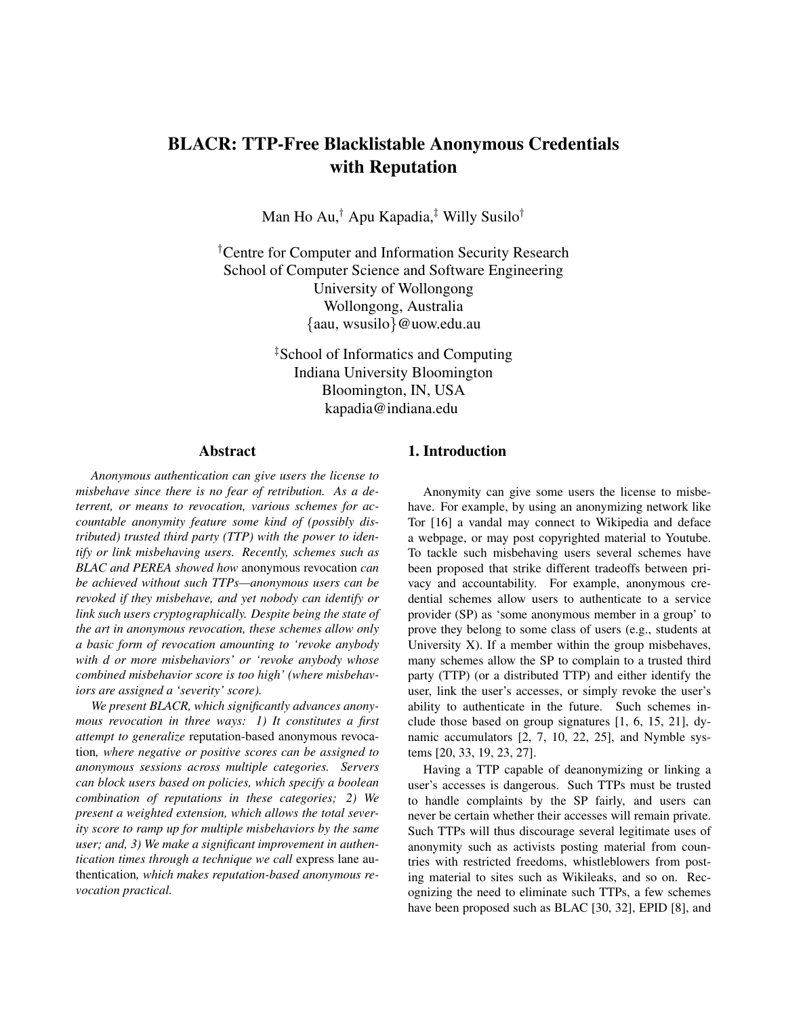# BLACR: TTP-Free Blacklistable Anonymous Credentials with Reputation

Man Ho Au,*†* Apu Kapadia,*‡* Willy Susilo*†*

*†* Centre for Computer and Information Security Research School of Computer Science and Software Engineering University of Wollongong Wollongong, Australia *{*aau, wsusilo*}*@uow.edu.au

> *‡* School of Informatics and Computing Indiana University Bloomington Bloomington, IN, USA kapadia@indiana.edu

## Abstract

*Anonymous authentication can give users the license to misbehave since there is no fear of retribution. As a deterrent, or means to revocation, various schemes for accountable anonymity feature some kind of (possibly distributed) trusted third party (TTP) with the power to identify or link misbehaving users. Recently, schemes such as BLAC and PEREA showed how* anonymous revocation *can be achieved without such TTPs—anonymous users can be revoked if they misbehave, and yet nobody can identify or link such users cryptographically. Despite being the state of the art in anonymous revocation, these schemes allow only a basic form of revocation amounting to 'revoke anybody with d or more misbehaviors' or 'revoke anybody whose combined misbehavior score is too high' (where misbehaviors are assigned a 'severity' score).*

*We present BLACR, which significantly advances anonymous revocation in three ways: 1) It constitutes a first attempt to generalize* reputation-based anonymous revocation*, where negative or positive scores can be assigned to anonymous sessions across multiple categories. Servers can block users based on policies, which specify a boolean combination of reputations in these categories; 2) We present a weighted extension, which allows the total severity score to ramp up for multiple misbehaviors by the same user; and, 3) We make a significant improvement in authentication times through a technique we call* express lane authentication*, which makes reputation-based anonymous revocation practical.*

## 1. Introduction

Anonymity can give some users the license to misbehave. For example, by using an anonymizing network like Tor [\[16\]](#page-13-0) a vandal may connect to Wikipedia and deface a webpage, or may post copyrighted material to Youtube. To tackle such misbehaving users several schemes have been proposed that strike different tradeoffs between privacy and accountability. For example, anonymous credential schemes allow users to authenticate to a service provider (SP) as 'some anonymous member in a group' to prove they belong to some class of users (e.g., students at University X). If a member within the group misbehaves, many schemes allow the SP to complain to a trusted third party (TTP) (or a distributed TTP) and either identify the user, link the user's accesses, or simply revoke the user's ability to authenticate in the future. Such schemes include those based on group signatures [\[1,](#page-13-1) [6,](#page-13-2) [15,](#page-13-3) [21\]](#page-14-0), dynamic accumulators [\[2,](#page-13-4) [7,](#page-13-5) [10,](#page-13-6) [22,](#page-14-1) [25\]](#page-14-2), and Nymble systems [\[20,](#page-14-3) [33,](#page-14-4) [19,](#page-13-7) [23,](#page-14-5) [27\]](#page-14-6).

Having a TTP capable of deanonymizing or linking a user's accesses is dangerous. Such TTPs must be trusted to handle complaints by the SP fairly, and users can never be certain whether their accesses will remain private. Such TTPs will thus discourage several legitimate uses of anonymity such as activists posting material from countries with restricted freedoms, whistleblowers from posting material to sites such as Wikileaks, and so on. Recognizing the need to eliminate such TTPs, a few schemes have been proposed such as BLAC [\[30,](#page-14-7) [32\]](#page-14-8), EPID [\[8\]](#page-13-8), and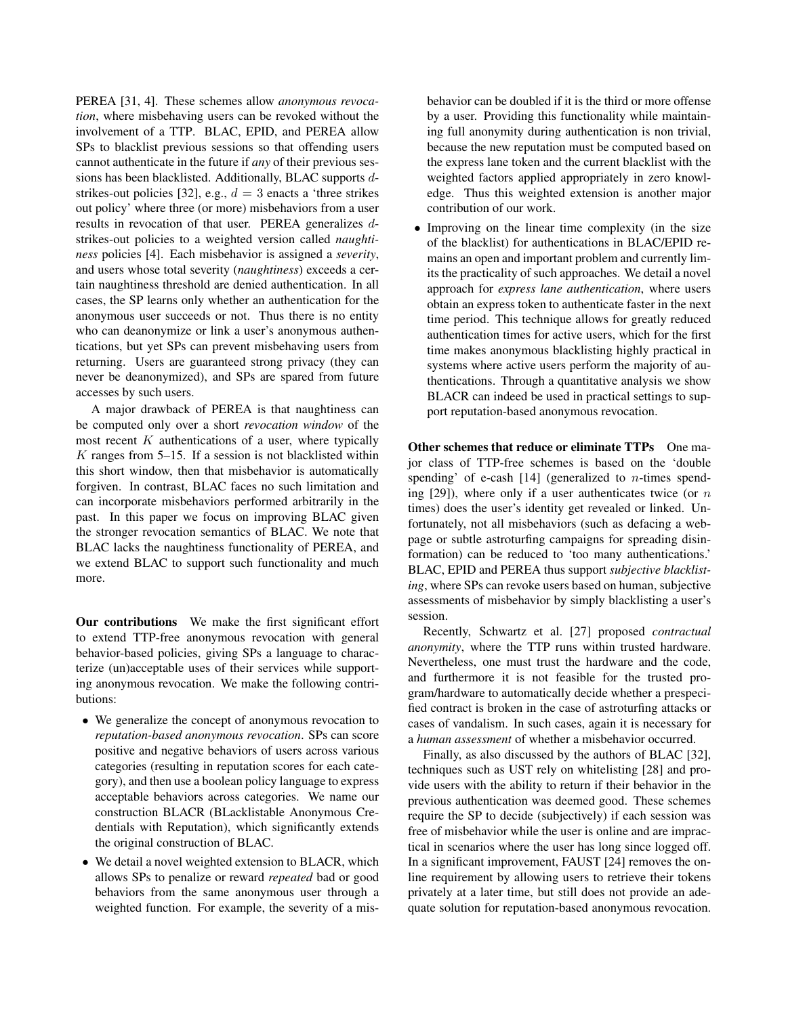PEREA [\[31,](#page-14-9) [4\]](#page-13-9). These schemes allow *anonymous revocation*, where misbehaving users can be revoked without the involvement of a TTP. BLAC, EPID, and PEREA allow SPs to blacklist previous sessions so that offending users cannot authenticate in the future if *any* of their previous sessions has been blacklisted. Additionally, BLAC supports *d*-strikes-out policies [\[32\]](#page-14-8), e.g.,  $d = 3$  enacts a 'three strikes' out policy' where three (or more) misbehaviors from a user results in revocation of that user. PEREA generalizes *d*strikes-out policies to a weighted version called *naughtiness* policies [\[4\]](#page-13-9). Each misbehavior is assigned a *severity*, and users whose total severity (*naughtiness*) exceeds a certain naughtiness threshold are denied authentication. In all cases, the SP learns only whether an authentication for the anonymous user succeeds or not. Thus there is no entity who can deanonymize or link a user's anonymous authentications, but yet SPs can prevent misbehaving users from returning. Users are guaranteed strong privacy (they can never be deanonymized), and SPs are spared from future accesses by such users.

A major drawback of PEREA is that naughtiness can be computed only over a short *revocation window* of the most recent *K* authentications of a user, where typically *K* ranges from 5–15. If a session is not blacklisted within this short window, then that misbehavior is automatically forgiven. In contrast, BLAC faces no such limitation and can incorporate misbehaviors performed arbitrarily in the past. In this paper we focus on improving BLAC given the stronger revocation semantics of BLAC. We note that BLAC lacks the naughtiness functionality of PEREA, and we extend BLAC to support such functionality and much more.

Our contributions We make the first significant effort to extend TTP-free anonymous revocation with general behavior-based policies, giving SPs a language to characterize (un)acceptable uses of their services while supporting anonymous revocation. We make the following contributions:

- *•* We generalize the concept of anonymous revocation to *reputation-based anonymous revocation*. SPs can score positive and negative behaviors of users across various categories (resulting in reputation scores for each category), and then use a boolean policy language to express acceptable behaviors across categories. We name our construction BLACR (BLacklistable Anonymous Credentials with Reputation), which significantly extends the original construction of BLAC.
- *•* We detail a novel weighted extension to BLACR, which allows SPs to penalize or reward *repeated* bad or good behaviors from the same anonymous user through a weighted function. For example, the severity of a mis-

behavior can be doubled if it is the third or more offense by a user. Providing this functionality while maintaining full anonymity during authentication is non trivial, because the new reputation must be computed based on the express lane token and the current blacklist with the weighted factors applied appropriately in zero knowledge. Thus this weighted extension is another major contribution of our work.

• Improving on the linear time complexity (in the size of the blacklist) for authentications in BLAC/EPID remains an open and important problem and currently limits the practicality of such approaches. We detail a novel approach for *express lane authentication*, where users obtain an express token to authenticate faster in the next time period. This technique allows for greatly reduced authentication times for active users, which for the first time makes anonymous blacklisting highly practical in systems where active users perform the majority of authentications. Through a quantitative analysis we show BLACR can indeed be used in practical settings to support reputation-based anonymous revocation.

Other schemes that reduce or eliminate TTPs One major class of TTP-free schemes is based on the 'double spending' of e-cash [\[14\]](#page-13-10) (generalized to *n*-times spending [\[29\]](#page-14-10)), where only if a user authenticates twice (or *n* times) does the user's identity get revealed or linked. Unfortunately, not all misbehaviors (such as defacing a webpage or subtle astroturfing campaigns for spreading disinformation) can be reduced to 'too many authentications.' BLAC, EPID and PEREA thus support *subjective blacklisting*, where SPs can revoke users based on human, subjective assessments of misbehavior by simply blacklisting a user's session.

Recently, Schwartz et al. [\[27\]](#page-14-6) proposed *contractual anonymity*, where the TTP runs within trusted hardware. Nevertheless, one must trust the hardware and the code, and furthermore it is not feasible for the trusted program/hardware to automatically decide whether a prespecified contract is broken in the case of astroturfing attacks or cases of vandalism. In such cases, again it is necessary for a *human assessment* of whether a misbehavior occurred.

Finally, as also discussed by the authors of BLAC [\[32\]](#page-14-8), techniques such as UST rely on whitelisting [\[28\]](#page-14-11) and provide users with the ability to return if their behavior in the previous authentication was deemed good. These schemes require the SP to decide (subjectively) if each session was free of misbehavior while the user is online and are impractical in scenarios where the user has long since logged off. In a significant improvement, FAUST [\[24\]](#page-14-12) removes the online requirement by allowing users to retrieve their tokens privately at a later time, but still does not provide an adequate solution for reputation-based anonymous revocation.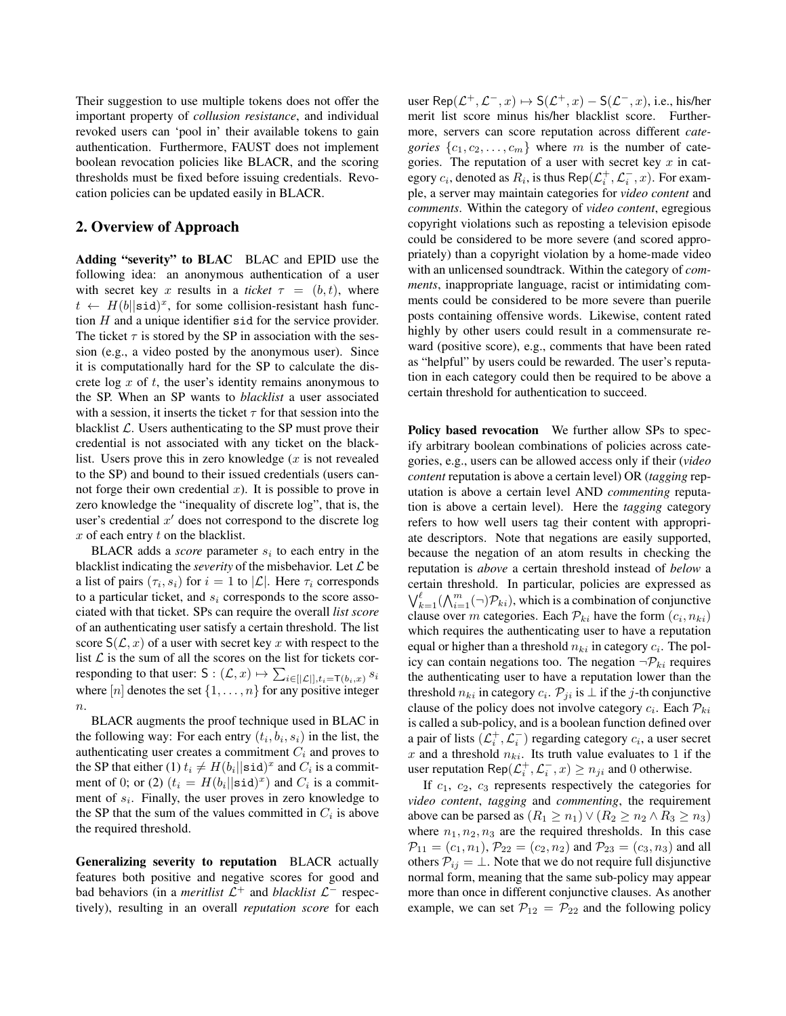Their suggestion to use multiple tokens does not offer the important property of *collusion resistance*, and individual revoked users can 'pool in' their available tokens to gain authentication. Furthermore, FAUST does not implement boolean revocation policies like BLACR, and the scoring thresholds must be fixed before issuing credentials. Revocation policies can be updated easily in BLACR.

## 2. Overview of Approach

Adding "severity" to BLAC BLAC and EPID use the following idea: an anonymous authentication of a user with secret key x results in a *ticket*  $\tau = (b, t)$ , where  $t \leftarrow H(b||\text{sid})^x$ , for some collision-resistant hash function *H* and a unique identifier sid for the service provider. The ticket  $\tau$  is stored by the SP in association with the session (e.g., a video posted by the anonymous user). Since it is computationally hard for the SP to calculate the discrete log *x* of *t*, the user's identity remains anonymous to the SP. When an SP wants to *blacklist* a user associated with a session, it inserts the ticket  $\tau$  for that session into the blacklist *L*. Users authenticating to the SP must prove their credential is not associated with any ticket on the blacklist. Users prove this in zero knowledge (*x* is not revealed to the SP) and bound to their issued credentials (users cannot forge their own credential *x*). It is possible to prove in zero knowledge the "inequality of discrete log", that is, the user's credential  $x<sup>0</sup>$  does not correspond to the discrete log *x* of each entry *t* on the blacklist.

BLACR adds a *score* parameter *s<sup>i</sup>* to each entry in the blacklist indicating the *severity* of the misbehavior. Let *L* be a list of pairs  $(\tau_i, s_i)$  for  $i = 1$  to  $|\mathcal{L}|$ . Here  $\tau_i$  corresponds to a particular ticket, and *s<sup>i</sup>* corresponds to the score associated with that ticket. SPs can require the overall *list score* of an authenticating user satisfy a certain threshold. The list score  $S(\mathcal{L}, x)$  of a user with secret key x with respect to the list  $\mathcal L$  is the sum of all the scores on the list for tickets corresponding to that user:  $S : (\mathcal{L}, x) \mapsto \sum_{i \in [|\mathcal{L}|], t_i = \mathsf{T}(b_i, x)} s_i$ where [*n*] denotes the set *{*1*,...,n}* for any positive integer *n*.

BLACR augments the proof technique used in BLAC in the following way: For each entry  $(t_i, b_i, s_i)$  in the list, the authenticating user creates a commitment *C<sup>i</sup>* and proves to the SP that either (1)  $t_i \neq H(b_i || \text{sid})^x$  and  $C_i$  is a commitment of 0; or (2)  $(t_i = H(b_i || \text{sid})^x)$  and  $C_i$  is a commitment of *si*. Finally, the user proves in zero knowledge to the SP that the sum of the values committed in  $C_i$  is above the required threshold.

Generalizing severity to reputation BLACR actually features both positive and negative scores for good and bad behaviors (in a *meritlist*  $\mathcal{L}^+$  and *blacklist*  $\mathcal{L}^-$  respectively), resulting in an overall *reputation score* for each user Rep $(L^+, L^-, x) \mapsto S(L^+, x) - S(L^-, x)$ , i.e., his/her merit list score minus his/her blacklist score. Furthermore, servers can score reputation across different *categories*  $\{c_1, c_2, \ldots, c_m\}$  where *m* is the number of categories. The reputation of a user with secret key *x* in category  $c_i$ , denoted as  $R_i$ , is thus  $\mathsf{Rep}(\mathcal{L}_i^+, \mathcal{L}_i^-, x)$ . For example, a server may maintain categories for *video content* and *comments*. Within the category of *video content*, egregious copyright violations such as reposting a television episode could be considered to be more severe (and scored appropriately) than a copyright violation by a home-made video with an unlicensed soundtrack. Within the category of *comments*, inappropriate language, racist or intimidating comments could be considered to be more severe than puerile posts containing offensive words. Likewise, content rated highly by other users could result in a commensurate reward (positive score), e.g., comments that have been rated as "helpful" by users could be rewarded. The user's reputation in each category could then be required to be above a certain threshold for authentication to succeed.

Policy based revocation We further allow SPs to specify arbitrary boolean combinations of policies across categories, e.g., users can be allowed access only if their (*video content* reputation is above a certain level) OR (*tagging* reputation is above a certain level AND *commenting* reputation is above a certain level). Here the *tagging* category refers to how well users tag their content with appropriate descriptors. Note that negations are easily supported, because the negation of an atom results in checking the reputation is *above* a certain threshold instead of *below* a certain threshold. In particular, policies are expressed as  $\bigvee_{k=1}^{\ell} (\bigwedge_{i=1}^{m} (\neg) \mathcal{P}_{ki})$ , which is a combination of conjunctive clause over *m* categories. Each  $P_{ki}$  have the form  $(c_i, n_{ki})$ which requires the authenticating user to have a reputation equal or higher than a threshold  $n_{ki}$  in category  $c_i$ . The policy can contain negations too. The negation  $\neg P_{ki}$  requires the authenticating user to have a reputation lower than the threshold  $n_{ki}$  in category  $c_i$ .  $\mathcal{P}_{ii}$  is  $\perp$  if the *j*-th conjunctive clause of the policy does not involve category  $c_i$ . Each  $\mathcal{P}_{ki}$ is called a sub-policy, and is a boolean function defined over a pair of lists  $(\mathcal{L}_i^+, \mathcal{L}_i^-)$  regarding category  $c_i$ , a user secret  $x$  and a threshold  $n_{ki}$ . Its truth value evaluates to 1 if the user reputation  $\text{Rep}(\mathcal{L}_i^+, \mathcal{L}_i^-, x) \ge n_{ji}$  and 0 otherwise.

If *c*1, *c*2, *c*<sup>3</sup> represents respectively the categories for *video content*, *tagging* and *commenting*, the requirement above can be parsed as  $(R_1 \ge n_1) \vee (R_2 \ge n_2 \wedge R_3 \ge n_3)$ where  $n_1, n_2, n_3$  are the required thresholds. In this case  $\mathcal{P}_{11} = (c_1, n_1), \mathcal{P}_{22} = (c_2, n_2)$  and  $\mathcal{P}_{23} = (c_3, n_3)$  and all others  $P_{ij} = \perp$ . Note that we do not require full disjunctive normal form, meaning that the same sub-policy may appear more than once in different conjunctive clauses. As another example, we can set  $P_{12} = P_{22}$  and the following policy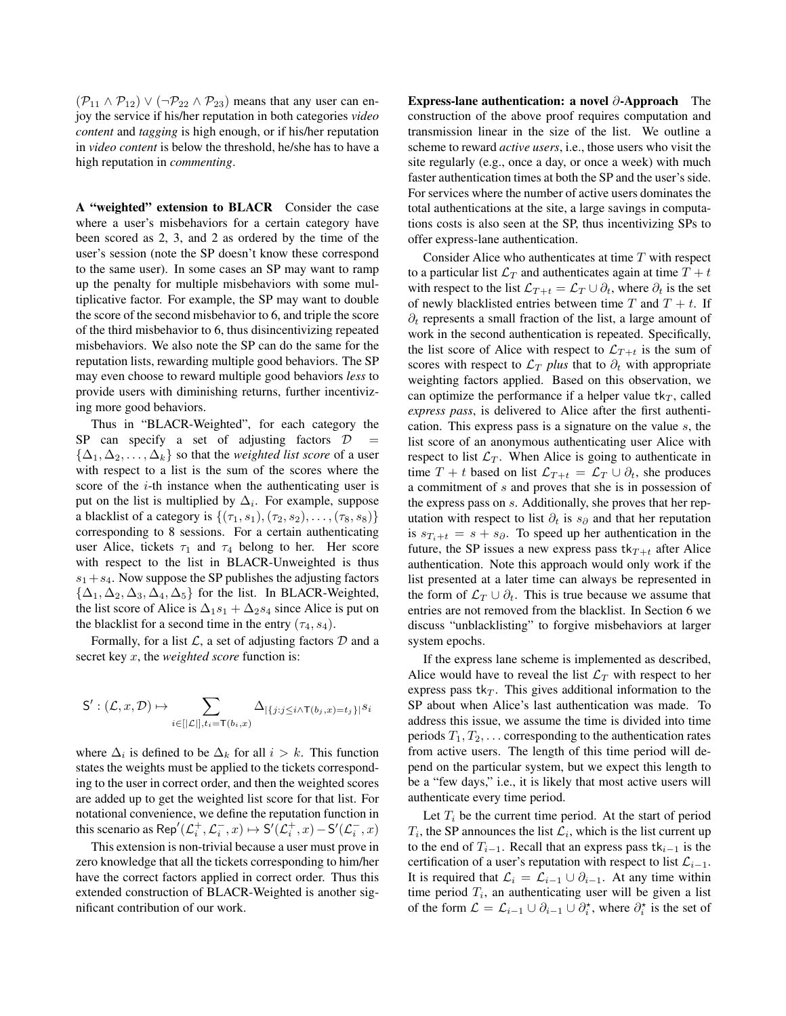$(\mathcal{P}_{11} \wedge \mathcal{P}_{12}) \vee (\neg \mathcal{P}_{22} \wedge \mathcal{P}_{23})$  means that any user can enjoy the service if his/her reputation in both categories *video content* and *tagging* is high enough, or if his/her reputation in *video content* is below the threshold, he/she has to have a high reputation in *commenting*.

A "weighted" extension to BLACR Consider the case where a user's misbehaviors for a certain category have been scored as 2, 3, and 2 as ordered by the time of the user's session (note the SP doesn't know these correspond to the same user). In some cases an SP may want to ramp up the penalty for multiple misbehaviors with some multiplicative factor. For example, the SP may want to double the score of the second misbehavior to 6, and triple the score of the third misbehavior to 6, thus disincentivizing repeated misbehaviors. We also note the SP can do the same for the reputation lists, rewarding multiple good behaviors. The SP may even choose to reward multiple good behaviors *less* to provide users with diminishing returns, further incentivizing more good behaviors.

Thus in "BLACR-Weighted", for each category the SP can specify a set of adjusting factors  $D =$  $\{\Delta_1, \Delta_2, \ldots, \Delta_k\}$  so that the *weighted list score* of a user with respect to a list is the sum of the scores where the score of the *i*-th instance when the authenticating user is put on the list is multiplied by  $\Delta_i$ . For example, suppose a blacklist of a category is  $\{(\tau_1, s_1), (\tau_2, s_2), \ldots, (\tau_8, s_8)\}$ corresponding to 8 sessions. For a certain authenticating user Alice, tickets  $\tau_1$  and  $\tau_4$  belong to her. Her score with respect to the list in BLACR-Unweighted is thus  $s_1 + s_4$ . Now suppose the SP publishes the adjusting factors  $\{\Delta_1, \Delta_2, \Delta_3, \Delta_4, \Delta_5\}$  for the list. In BLACR-Weighted, the list score of Alice is  $\Delta_1 s_1 + \Delta_2 s_4$  since Alice is put on the blacklist for a second time in the entry  $(\tau_4, s_4)$ .

Formally, for a list *L*, a set of adjusting factors *D* and a secret key *x*, the *weighted score* function is:

$$
\mathsf{S}':(\mathcal{L},x,\mathcal{D})\mapsto\sum_{i\in[|\mathcal{L}|],t_i=\mathsf{T}(b_i,x)}\Delta_{|\{j:j\leq i\wedge \mathsf{T}(b_j,x)=t_j\}|s_i}
$$

where  $\Delta_i$  is defined to be  $\Delta_k$  for all  $i>k$ . This function states the weights must be applied to the tickets corresponding to the user in correct order, and then the weighted scores are added up to get the weighted list score for that list. For notational convenience, we define the reputation function in this scenario as Rep<sup>'</sup>( $\mathcal{L}_i^+, \mathcal{L}_i^-, x$ )  $\mapsto$  S'( $\mathcal{L}_i^+, x$ ) - S'( $\mathcal{L}_i^-, x$ )

This extension is non-trivial because a user must prove in zero knowledge that all the tickets corresponding to him/her have the correct factors applied in correct order. Thus this extended construction of BLACR-Weighted is another significant contribution of our work.

Express-lane authentication: a novel  $\partial$ -Approach The construction of the above proof requires computation and transmission linear in the size of the list. We outline a scheme to reward *active users*, i.e., those users who visit the site regularly (e.g., once a day, or once a week) with much faster authentication times at both the SP and the user's side. For services where the number of active users dominates the total authentications at the site, a large savings in computations costs is also seen at the SP, thus incentivizing SPs to offer express-lane authentication.

Consider Alice who authenticates at time *T* with respect to a particular list  $\mathcal{L}_T$  and authenticates again at time  $T + t$ with respect to the list  $\mathcal{L}_{T+t} = \mathcal{L}_T \cup \partial_t$ , where  $\partial_t$  is the set of newly blacklisted entries between time  $T$  and  $T + t$ . If  $\partial_t$  represents a small fraction of the list, a large amount of work in the second authentication is repeated. Specifically, the list score of Alice with respect to  $\mathcal{L}_{T+t}$  is the sum of scores with respect to  $\mathcal{L}_T$  *plus* that to  $\partial_t$  with appropriate weighting factors applied. Based on this observation, we can optimize the performance if a helper value  $tk<sub>T</sub>$ , called *express pass*, is delivered to Alice after the first authentication. This express pass is a signature on the value *s*, the list score of an anonymous authenticating user Alice with respect to list  $\mathcal{L}_T$ . When Alice is going to authenticate in time  $T + t$  based on list  $\mathcal{L}_{T+t} = \mathcal{L}_T \cup \partial_t$ , she produces a commitment of *s* and proves that she is in possession of the express pass on *s*. Additionally, she proves that her reputation with respect to list  $\partial_t$  is  $s_{\partial}$  and that her reputation is  $s_{T_i+t} = s + s_{\partial}$ . To speed up her authentication in the future, the SP issues a new express pass  $tk_{T+t}$  after Alice authentication. Note this approach would only work if the list presented at a later time can always be represented in the form of  $\mathcal{L}_T \cup \partial_t$ . This is true because we assume that entries are not removed from the blacklist. In Section [6](#page-12-0) we discuss "unblacklisting" to forgive misbehaviors at larger system epochs.

If the express lane scheme is implemented as described, Alice would have to reveal the list  $\mathcal{L}_T$  with respect to her express pass  $tk<sub>T</sub>$ . This gives additional information to the SP about when Alice's last authentication was made. To address this issue, we assume the time is divided into time periods  $T_1, T_2, \ldots$  corresponding to the authentication rates from active users. The length of this time period will depend on the particular system, but we expect this length to be a "few days," i.e., it is likely that most active users will authenticate every time period.

Let  $T_i$  be the current time period. At the start of period  $T_i$ , the SP announces the list  $\mathcal{L}_i$ , which is the list current up to the end of  $T_{i-1}$ . Recall that an express pass  $tk_{i-1}$  is the certification of a user's reputation with respect to list  $\mathcal{L}_{i-1}$ . It is required that  $\mathcal{L}_i = \mathcal{L}_{i-1} \cup \partial_{i-1}$ . At any time within time period  $T_i$ , an authenticating user will be given a list of the form  $\mathcal{L} = \mathcal{L}_{i-1} \cup \partial_{i-1} \cup \partial_i^*$ , where  $\partial_i^*$  is the set of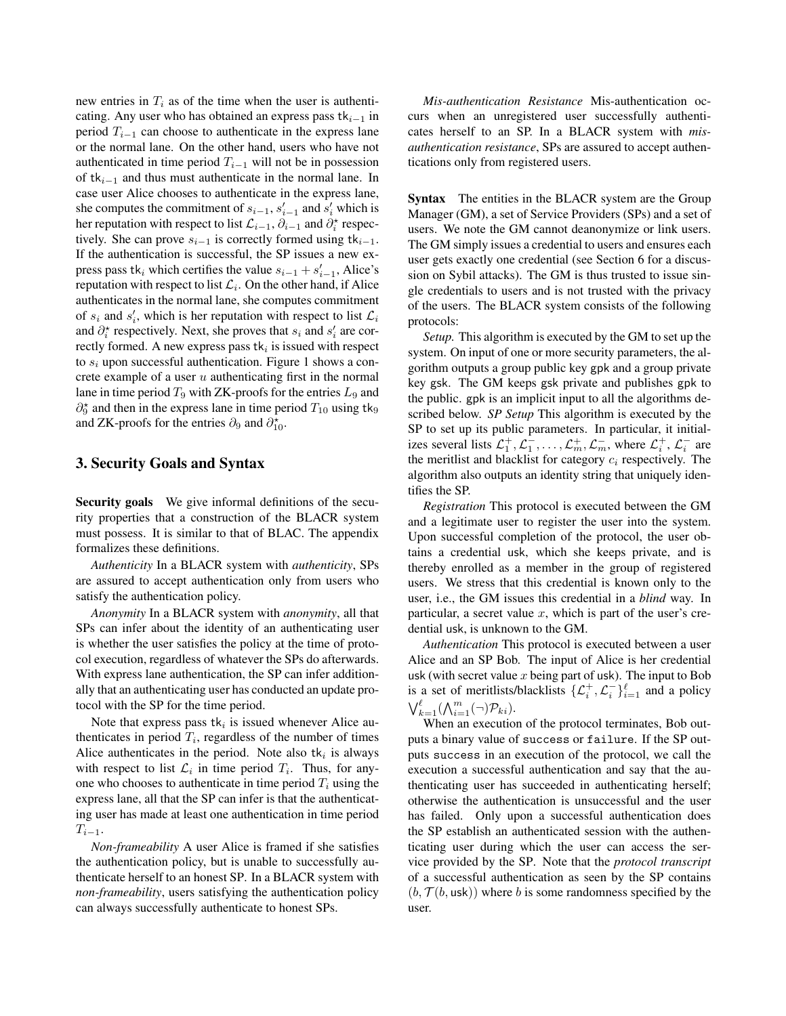new entries in  $T_i$  as of the time when the user is authenticating. Any user who has obtained an express pass  $tk_{i-1}$  in period  $T_{i-1}$  can choose to authenticate in the express lane or the normal lane. On the other hand, users who have not authenticated in time period  $T_{i-1}$  will not be in possession of  $tk_{i-1}$  and thus must authenticate in the normal lane. In case user Alice chooses to authenticate in the express lane, she computes the commitment of  $s_{i-1}$ ,  $s'_{i-1}$  and  $s'_{i}$  which is her reputation with respect to list  $\mathcal{L}_{i-1}$ ,  $\partial_{i-1}$  and  $\partial_i^*$  respectively. She can prove  $s_{i-1}$  is correctly formed using  $tk_{i-1}$ . If the authentication is successful, the SP issues a new express pass  $\mathbf{t}$ *k<sub>i</sub>* which certifies the value  $s_{i-1} + s'_{i-1}$ , Alice's reputation with respect to list  $\mathcal{L}_i$ . On the other hand, if Alice authenticates in the normal lane, she computes commitment of  $s_i$  and  $s'_i$ , which is her reputation with respect to list  $\mathcal{L}_i$ and  $\partial_i^*$  respectively. Next, she proves that  $s_i$  and  $s'_i$  are correctly formed. A new express pass  $tk_i$  is issued with respect to *s<sup>i</sup>* upon successful authentication. Figure [1](#page-5-0) shows a concrete example of a user *u* authenticating first in the normal lane in time period  $T_9$  with ZK-proofs for the entries  $L_9$  and  $\partial_9^{\star}$  and then in the express lane in time period  $T_{10}$  using tk<sub>9</sub> and ZK-proofs for the entries  $\partial_9$  and  $\partial_{10}^*$ .

## 3. Security Goals and Syntax

Security goals We give informal definitions of the security properties that a construction of the BLACR system must possess. It is similar to that of BLAC. The appendix formalizes these definitions.

*Authenticity* In a BLACR system with *authenticity*, SPs are assured to accept authentication only from users who satisfy the authentication policy.

*Anonymity* In a BLACR system with *anonymity*, all that SPs can infer about the identity of an authenticating user is whether the user satisfies the policy at the time of protocol execution, regardless of whatever the SPs do afterwards. With express lane authentication, the SP can infer additionally that an authenticating user has conducted an update protocol with the SP for the time period.

Note that express pass  $tk_i$  is issued whenever Alice authenticates in period  $T_i$ , regardless of the number of times Alice authenticates in the period. Note also  $tk<sub>i</sub>$  is always with respect to list  $\mathcal{L}_i$  in time period  $T_i$ . Thus, for anyone who chooses to authenticate in time period  $T_i$  using the express lane, all that the SP can infer is that the authenticating user has made at least one authentication in time period  $T_{i-1}$ .

*Non-frameability* A user Alice is framed if she satisfies the authentication policy, but is unable to successfully authenticate herself to an honest SP. In a BLACR system with *non-frameability*, users satisfying the authentication policy can always successfully authenticate to honest SPs.

*Mis-authentication Resistance* Mis-authentication occurs when an unregistered user successfully authenticates herself to an SP. In a BLACR system with *misauthentication resistance*, SPs are assured to accept authentications only from registered users.

Syntax The entities in the BLACR system are the Group Manager (GM), a set of Service Providers (SPs) and a set of users. We note the GM cannot deanonymize or link users. The GM simply issues a credential to users and ensures each user gets exactly one credential (see Section [6](#page-12-0) for a discussion on Sybil attacks). The GM is thus trusted to issue single credentials to users and is not trusted with the privacy of the users. The BLACR system consists of the following protocols:

*Setup.* This algorithm is executed by the GM to set up the system. On input of one or more security parameters, the algorithm outputs a group public key gpk and a group private key gsk. The GM keeps gsk private and publishes gpk to the public. gpk is an implicit input to all the algorithms described below. *SP Setup* This algorithm is executed by the SP to set up its public parameters. In particular, it initializes several lists  $\mathcal{L}_1^+, \mathcal{L}_1^-, \dots, \mathcal{L}_m^+, \mathcal{L}_m^-,$  where  $\mathcal{L}_i^+, \mathcal{L}_i^-$  are the meritlist and blacklist for category *c<sup>i</sup>* respectively. The algorithm also outputs an identity string that uniquely identifies the SP.

*Registration* This protocol is executed between the GM and a legitimate user to register the user into the system. Upon successful completion of the protocol, the user obtains a credential usk, which she keeps private, and is thereby enrolled as a member in the group of registered users. We stress that this credential is known only to the user, i.e., the GM issues this credential in a *blind* way. In particular, a secret value *x*, which is part of the user's credential usk, is unknown to the GM.

*Authentication* This protocol is executed between a user Alice and an SP Bob. The input of Alice is her credential usk (with secret value *x* being part of usk). The input to Bob is a set of meritlists/blacklists  $\{\mathcal{L}_i^+, \mathcal{L}_i^-\}_{i=1}^{\ell}$  and a policy  $\bigvee_{k=1}^{\ell} (\bigwedge_{i=1}^{m} (\neg) \mathcal{P}_{ki}).$ 

When an execution of the protocol terminates, Bob outputs a binary value of success or failure. If the SP outputs success in an execution of the protocol, we call the execution a successful authentication and say that the authenticating user has succeeded in authenticating herself; otherwise the authentication is unsuccessful and the user has failed. Only upon a successful authentication does the SP establish an authenticated session with the authenticating user during which the user can access the service provided by the SP. Note that the *protocol transcript* of a successful authentication as seen by the SP contains  $(b, \mathcal{T}(b, \text{usk}))$  where *b* is some randomness specified by the user.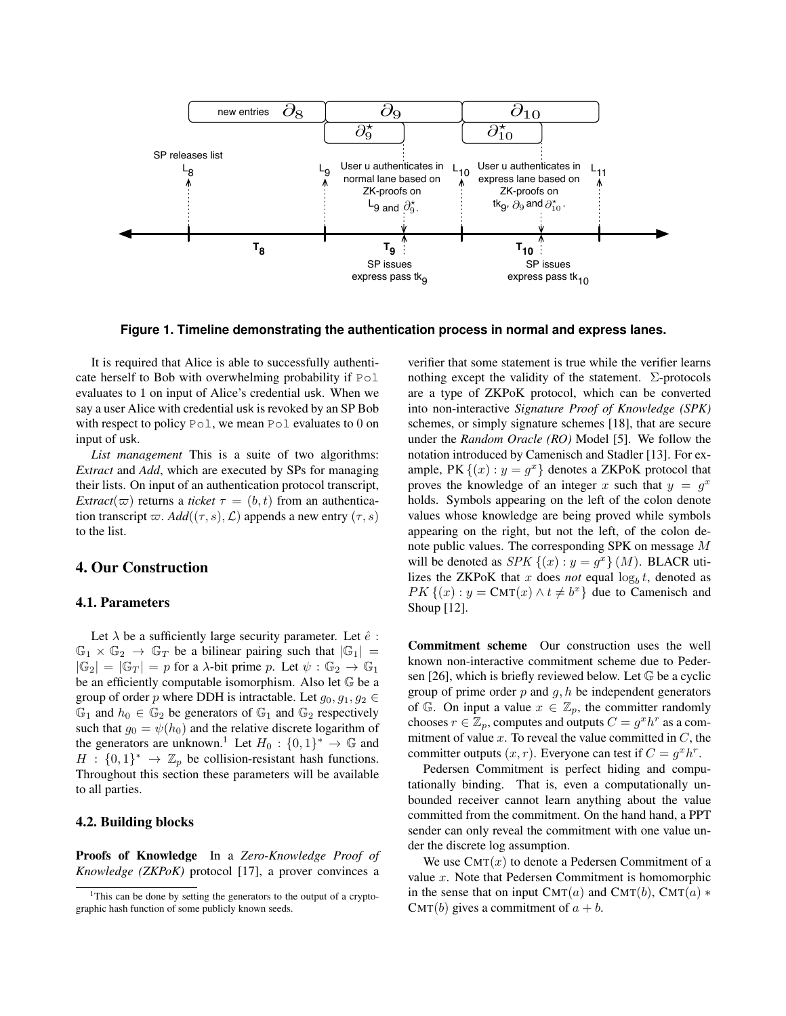

<span id="page-5-0"></span>**Figure 1. Timeline demonstrating the authentication process in normal and express lanes.**

It is required that Alice is able to successfully authenticate herself to Bob with overwhelming probability if Pol evaluates to 1 on input of Alice's credential usk. When we say a user Alice with credential usk is revoked by an SP Bob with respect to policy Pol, we mean Pol evaluates to 0 on input of usk.

*List management* This is a suite of two algorithms: *Extract* and *Add*, which are executed by SPs for managing their lists. On input of an authentication protocol transcript, *Extract*( $\varpi$ ) returns a *ticket*  $\tau = (b, t)$  from an authentication transcript  $\varpi$ *. Add*( $(\tau, s)$ *, L*) appends a new entry  $(\tau, s)$ to the list.

## 4. Our Construction

#### 4.1. Parameters

Let  $\lambda$  be a sufficiently large security parameter. Let  $\hat{e}$  :  $\mathbb{G}_1 \times \mathbb{G}_2 \rightarrow \mathbb{G}_T$  be a bilinear pairing such that  $|\mathbb{G}_1| =$  $|\mathbb{G}_2| = |\mathbb{G}_T| = p$  for a  $\lambda$ -bit prime *p*. Let  $\psi : \mathbb{G}_2 \to \mathbb{G}_1$ be an efficiently computable isomorphism. Also let G be a group of order *p* where DDH is intractable. Let  $g_0, g_1, g_2 \in$  $\mathbb{G}_1$  and  $h_0 \in \mathbb{G}_2$  be generators of  $\mathbb{G}_1$  and  $\mathbb{G}_2$  respectively such that  $g_0 = \psi(h_0)$  and the relative discrete logarithm of the generators are unknown.<sup>[1](#page-5-1)</sup> Let  $H_0: \{0,1\}^* \to \mathbb{G}$  and  $H : \{0,1\}^* \rightarrow \mathbb{Z}_p$  be collision-resistant hash functions. Throughout this section these parameters will be available to all parties.

#### 4.2. Building blocks

Proofs of Knowledge In a *Zero-Knowledge Proof of Knowledge (ZKPoK)* protocol [\[17\]](#page-13-11), a prover convinces a

verifier that some statement is true while the verifier learns nothing except the validity of the statement.  $\Sigma$ -protocols are a type of ZKPoK protocol, which can be converted into non-interactive *Signature Proof of Knowledge (SPK)* schemes, or simply signature schemes [\[18\]](#page-13-12), that are secure under the *Random Oracle (RO)* Model [\[5\]](#page-13-13). We follow the notation introduced by Camenisch and Stadler [\[13\]](#page-13-14). For example, PK  $\{(x): y = g^x\}$  denotes a ZKPoK protocol that proves the knowledge of an integer *x* such that  $y = g^x$ holds. Symbols appearing on the left of the colon denote values whose knowledge are being proved while symbols appearing on the right, but not the left, of the colon denote public values. The corresponding SPK on message *M* will be denoted as *SPK*  $\{(x) : y = g^x\}$   $(M)$ . BLACR utilizes the ZKPoK that *x* does *not* equal  $\log_b t$ , denoted as *PK*  $\{(x): y = \text{CMT}(x) \land t \neq b^x\}$  due to Camenisch and Shoup [\[12\]](#page-13-15).

Commitment scheme Our construction uses the well known non-interactive commitment scheme due to Peder-sen [\[26\]](#page-14-13), which is briefly reviewed below. Let  $\mathbb G$  be a cyclic group of prime order *p* and *g, h* be independent generators of  $\mathbb{G}$ . On input a value  $x \in \mathbb{Z}_p$ , the committer randomly chooses  $r \in \mathbb{Z}_p$ , computes and outputs  $C = g^x h^r$  as a commitment of value *x*. To reveal the value committed in *C*, the committer outputs  $(x, r)$ . Everyone can test if  $C = g^x h^r$ .

Pedersen Commitment is perfect hiding and computationally binding. That is, even a computationally unbounded receiver cannot learn anything about the value committed from the commitment. On the hand hand, a PPT sender can only reveal the commitment with one value under the discrete log assumption.

We use  $CMT(x)$  to denote a Pedersen Commitment of a value *x*. Note that Pedersen Commitment is homomorphic in the sense that on input  $CMT(a)$  and  $CMT(b)$ ,  $CMT(a)$  \* CMT(*b*) gives a commitment of  $a + b$ .

<span id="page-5-1"></span><sup>&</sup>lt;sup>1</sup>This can be done by setting the generators to the output of a cryptographic hash function of some publicly known seeds.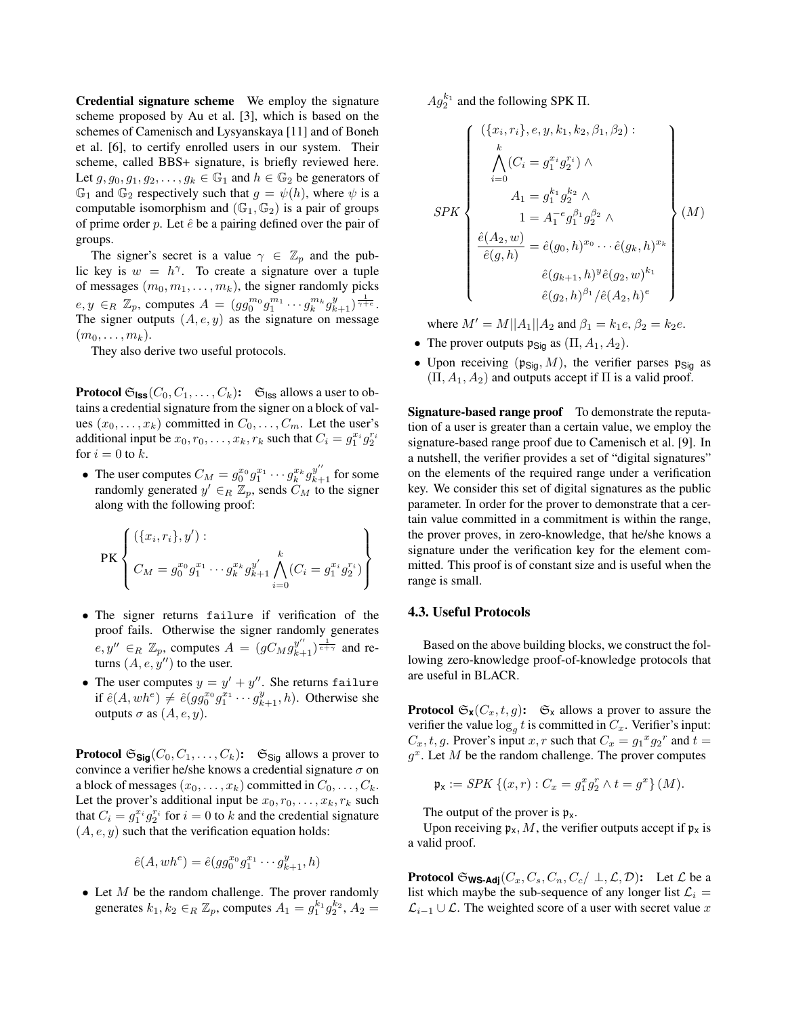Credential signature scheme We employ the signature scheme proposed by Au et al. [\[3\]](#page-13-16), which is based on the schemes of Camenisch and Lysyanskaya [\[11\]](#page-13-17) and of Boneh et al. [\[6\]](#page-13-2), to certify enrolled users in our system. Their scheme, called BBS+ signature, is briefly reviewed here. Let  $g, g_0, g_1, g_2, \ldots, g_k \in \mathbb{G}_1$  and  $h \in \mathbb{G}_2$  be generators of  $\mathbb{G}_1$  and  $\mathbb{G}_2$  respectively such that  $g = \psi(h)$ , where  $\psi$  is a computable isomorphism and  $(\mathbb{G}_1, \mathbb{G}_2)$  is a pair of groups of prime order  $p$ . Let  $\hat{e}$  be a pairing defined over the pair of groups.

The signer's secret is a value  $\gamma \in \mathbb{Z}_p$  and the public key is  $w = h^{\gamma}$ . To create a signature over a tuple of messages  $(m_0, m_1, \ldots, m_k)$ , the signer randomly picks  $e, y \in_R \mathbb{Z}_p$ , computes  $A = (gg_0^m g_1^{m_1} \cdots g_k^{m_k} g_{k+1}^y)^{\frac{1}{\gamma + e}}$ . The signer outputs  $(A, e, y)$  as the signature on message  $(m_0,\ldots,m_k)$ .

They also derive two useful protocols.

**Protocol**  $\mathfrak{S}_{\text{ISS}}(C_0, C_1, \ldots, C_k)$ :  $\mathfrak{S}_{\text{ISS}}$  allows a user to obtains a credential signature from the signer on a block of values  $(x_0, \ldots, x_k)$  committed in  $C_0, \ldots, C_m$ . Let the user's additional input be  $x_0, r_0, \ldots, x_k, r_k$  such that  $C_i = g_1^{x_i} g_2^{r_i}$ for  $i = 0$  to  $k$ .

• The user computes  $C_M = g_0^{x_0} g_1^{x_1} \cdots g_k^{x_k} g_{k+1}^{y''}$  for some randomly generated  $y' \in_R \mathbb{Z}_p$ , sends  $C_M$  to the signer along with the following proof:

PK
$$
\left\{\n\begin{aligned}\n(\{x_i, r_i\}, y') : \\
C_M &= g_0^{x_0} g_1^{x_1} \cdots g_k^{x_k} g_{k+1}^{y'} \bigwedge_{i=0}^k (C_i = g_1^{x_i} g_2^{r_i})\n\end{aligned}\n\right\}
$$

- *•* The signer returns failure if verification of the proof fails. Otherwise the signer randomly generates  $e, y'' \in_R \mathbb{Z}_p$ , computes  $A = (gC_M g^{y''}_{k+1})^{\frac{1}{e+\gamma}}$  and returns  $(A, e, y'')$  to the user.
- The user computes  $y = y' + y''$ . She returns failure if  $\hat{e}(A, wh^e) \neq \hat{e}(gg_0^{x_0}g_1^{x_1}\cdots g_{k+1}^y, h)$ . Otherwise she outputs  $\sigma$  as  $(A, e, y)$ .

**Protocol**  $\mathfrak{S}_{\mathsf{Sig}}(C_0, C_1, \ldots, C_k)$ :  $\mathfrak{S}_{\mathsf{Sig}}$  allows a prover to convince a verifier he/she knows a credential signature  $\sigma$  on a block of messages  $(x_0, \ldots, x_k)$  committed in  $C_0, \ldots, C_k$ . Let the prover's additional input be  $x_0, r_0, \ldots, x_k, r_k$  such that  $C_i = g_1^{x_i} g_2^{r_i}$  for  $i = 0$  to  $k$  and the credential signature  $(A, e, y)$  such that the verification equation holds:

$$
\hat{e}(A, wh^e) = \hat{e}(gg_0^{x_0}g_1^{x_1} \cdots g_{k+1}^y, h)
$$

*•* Let *M* be the random challenge. The prover randomly generates  $k_1, k_2 \in_R \mathbb{Z}_p$ , computes  $A_1 = g_1^{k_1} g_2^{k_2}$ ,  $A_2 =$   $Ag_2^{k_1}$  and the following SPK  $\Pi$ .

$$
SPK \begin{Bmatrix}\n(\{x_i, r_i\}, e, y, k_1, k_2, \beta_1, \beta_2) : \\
\bigwedge_{i=0}^k (C_i = g_1^{x_i} g_2^{r_i}) \wedge \\
A_1 = g_1^{k_1} g_2^{k_2} \wedge \\
1 = A_1^{-e} g_1^{\beta_1} g_2^{\beta_2} \wedge \\
\frac{\hat{e}(A_2, w)}{\hat{e}(g, h)} = \hat{e}(g_0, h)^{x_0} \cdots \hat{e}(g_k, h)^{x_k} \\
\hat{e}(g_{k+1}, h)^y \hat{e}(g_2, w)^{k_1} \\
\hat{e}(g_2, h)^{\beta_1} / \hat{e}(A_2, h)^e\n\end{Bmatrix}\n\tag{M}
$$

where  $M' = M||A_1||A_2$  and  $\beta_1 = k_1e, \beta_2 = k_2e$ .

- The prover outputs  $\mathfrak{p}_{\text{Siq}}$  as  $(\Pi, A_1, A_2)$ .
- Upon receiving  $(p_{\text{Sig}}, M)$ , the verifier parses  $p_{\text{Sig}}$  as  $(\Pi, A_1, A_2)$  and outputs accept if  $\Pi$  is a valid proof.

Signature-based range proof To demonstrate the reputation of a user is greater than a certain value, we employ the signature-based range proof due to Camenisch et al. [\[9\]](#page-13-18). In a nutshell, the verifier provides a set of "digital signatures" on the elements of the required range under a verification key. We consider this set of digital signatures as the public parameter. In order for the prover to demonstrate that a certain value committed in a commitment is within the range, the prover proves, in zero-knowledge, that he/she knows a signature under the verification key for the element committed. This proof is of constant size and is useful when the range is small.

#### 4.3. Useful Protocols

Based on the above building blocks, we construct the following zero-knowledge proof-of-knowledge protocols that are useful in BLACR.

**Protocol**  $\mathfrak{S}_{\mathbf{x}}(C_x, t, g)$ :  $\mathfrak{S}_{\mathbf{x}}$  allows a prover to assure the verifier the value  $\log_q t$  is committed in  $C_x$ . Verifier's input:  $C_x$ , *t*, *g*. Prover's input *x*, *r* such that  $C_x = g_1{}^x g_2{}^r$  and  $t =$  $g^x$ . Let *M* be the random challenge. The prover computes

$$
\mathfrak{p}_x := SPK \{(x, r) : C_x = g_1^x g_2^r \wedge t = g^x\} (M).
$$

The output of the prover is  $\mathfrak{p}_x$ .

Upon receiving  $\mathfrak{p}_x$ , M, the verifier outputs accept if  $\mathfrak{p}_x$  is a valid proof.

**Protocol**  $\mathfrak{S}_{\text{WS-Adj}}(C_x, C_s, C_n, C_c/\perp, \mathcal{L}, \mathcal{D})$ : Let  $\mathcal{L}$  be a list which maybe the sub-sequence of any longer list  $\mathcal{L}_i$  =  $\mathcal{L}_{i-1} \cup \mathcal{L}$ . The weighted score of a user with secret value *x*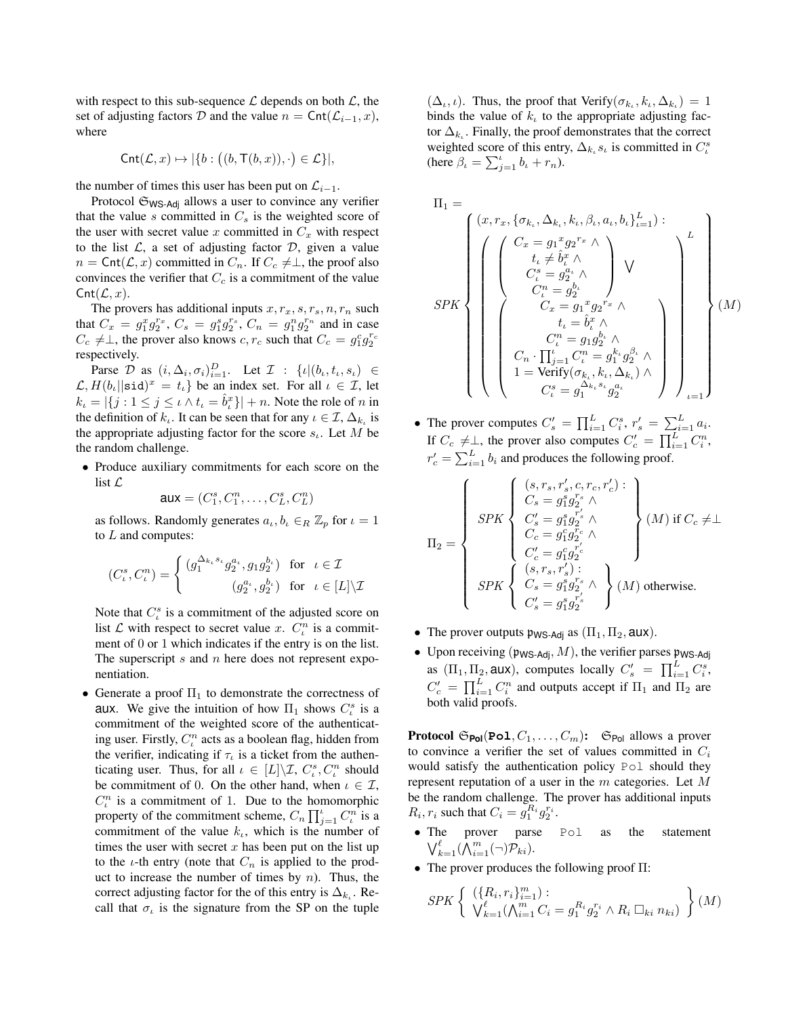with respect to this sub-sequence  $\mathcal L$  depends on both  $\mathcal L$ , the set of adjusting factors *D* and the value  $n = \text{Cnt}(\mathcal{L}_{i-1}, x)$ , where

$$
\mathsf{Cnt}(\mathcal{L},x)\mapsto |\{b: \bigl((b,\mathsf{T}(b,x)),\cdot\bigr)\in\mathcal{L}\}|,
$$

the number of times this user has been put on  $\mathcal{L}_{i-1}$ .

Protocol  $\mathfrak{S}_{\text{WS-Adj}}$  allows a user to convince any verifier that the value  $s$  committed in  $C_s$  is the weighted score of the user with secret value  $x$  committed in  $C_x$  with respect to the list  $\mathcal{L}$ , a set of adjusting factor  $\mathcal{D}$ , given a value  $n = \text{Cnt}(\mathcal{L}, x)$  committed in  $C_n$ . If  $C_c \neq \perp$ , the proof also convinces the verifier that  $C_c$  is a commitment of the value  $\mathsf{Cnt}(\mathcal{L},x)$ .

The provers has additional inputs  $x, r_x, s, r_s, n, r_n$  such that  $C_x = g_1^x g_2^{r_x}, C_s = g_1^s g_2^{r_s}, C_n = g_1^n g_2^{r_n}$  and in case  $C_c \neq \perp$ , the prover also knows *c*,  $r_c$  such that  $C_c = g_1^c g_2^{r_c}$ respectively.

Parse *D* as  $(i, \Delta_i, \sigma_i)_{i=1}^D$ . Let  $\mathcal{I}$  :  $\{i | (b_i, t_i, s_i) \in$  $\mathcal{L}, H(b_{\iota}||\text{sid})^x = t_{\iota}$  be an index set. For all  $\iota \in \mathcal{I}$ , let  $k_{\iota} = |\{j : 1 \leq j \leq \iota \land t_{\iota} = \hat{b}_{\iota}^{x}\}| + n$ . Note the role of *n* in the definition of  $k_{\iota}$ . It can be seen that for any  $\iota \in \mathcal{I}, \Delta_{k_{\iota}}$  is the appropriate adjusting factor for the score  $s_{\iota}$ . Let *M* be the random challenge.

*•* Produce auxiliary commitments for each score on the list *L*

 $aux = (C_1^s, C_1^n, \ldots, C_L^s, C_L^n)$ 

as follows. Randomly generates  $a_k, b_k \in_R \mathbb{Z}_p$  for  $\iota = 1$ to *L* and computes:

$$
(C_\iota^s, C_\iota^n) = \left\{ \begin{matrix} (g_1^{\Delta_{k_\iota} s_\iota} g_2^{a_\iota}, g_1 g_2^{b_\iota}) & \text{for} \quad \iota \in \mathcal{I} \\ (g_2^{a_\iota}, g_2^{b_\iota}) & \text{for} \quad \iota \in [L] \backslash \mathcal{I} \end{matrix} \right.
$$

Note that  $C_i^s$  is a commitment of the adjusted score on list  $\mathcal L$  with respect to secret value *x*.  $C_t^n$  is a commitment of 0 or 1 which indicates if the entry is on the list. The superscript *s* and *n* here does not represent exponentiation.

• Generate a proof  $\Pi_1$  to demonstrate the correctness of aux. We give the intuition of how  $\Pi_1$  shows  $C_i^s$  is a commitment of the weighted score of the authenticating user. Firstly,  $C_{\iota}^n$  acts as a boolean flag, hidden from the verifier, indicating if  $\tau_t$  is a ticket from the authenticating user. Thus, for all  $\iota \in [L] \backslash \mathcal{I}$ ,  $C_{\iota}^{s}$ ,  $C_{\iota}^{n}$  should be commitment of 0. On the other hand, when  $\iota \in \mathcal{I}$ ,  $C_t^n$  is a commitment of 1. Due to the homomorphic property of the commitment scheme,  $C_n \prod_{j=1}^{\infty} C_i^n$  is a commitment of the value  $k_{\iota}$ , which is the number of times the user with secret  $x$  has been put on the list up to the  $\iota$ -th entry (note that  $C_n$  is applied to the product to increase the number of times by *n*). Thus, the correct adjusting factor for the of this entry is  $\Delta_k$ . Recall that  $\sigma_t$  is the signature from the SP on the tuple

 $(\Delta_{\iota}, \iota)$ . Thus, the proof that Verify $(\sigma_{k_{\iota}}, k_{\iota}, \Delta_{k_{\iota}})=1$ binds the value of  $k<sub>t</sub>$  to the appropriate adjusting factor  $\Delta_k$ . Finally, the proof demonstrates that the correct weighted score of this entry,  $\Delta_{k_t} s_t$  is committed in  $C_t^s$ (here  $\beta_{\iota} = \sum_{j=1}^{\iota} b_{\iota} + r_n$ ).

$$
\Pi_1 = \left\{\begin{array}{c} (x, r_x, \{\sigma_{k_\iota}, \Delta_{k_\iota}, k_\iota, \beta_\iota, a_\iota, b_\iota\}_{\iota=1}^L): \\[1em] \left\{\begin{array}{c} \left(\begin{array}{c} C_x = g_1{}^x g_2{}^{r_x} \wedge \\[1em] t_\iota \neq \hat b_\iota^x \wedge \\[1em] C_\iota^s = g_2^a{}^\iota \wedge \\[1em] C_\iota^u = g_2^b{}^\iota \end{array}\right) \vee \\[1em] \left(\begin{array}{c} C_x = g_1{}^x g_2{}^{r_x} \wedge \\[1em] C_x = g_1{}^x g_2{}^{r_x} \wedge \\[1em] C_x = g_1 g_2^b{}^\iota \wedge \\[1em] C_\iota^u = g_1 g_2^b{}^\iota \wedge \\[1em] 1 = \text{Verify}(\sigma_{k_\iota}, k_\iota, \Delta_{k_\iota}) \wedge \\[1em] C_\iota^s = g_1^{\Delta_{k_\iota}, s_\iota} g_2^{a_\iota} \end{array}\right)\end{array}\right\}\tag{$M$}
$$

• The prover computes  $C'_{s} = \prod_{i=1}^{L} C_{i}^{s}, r'_{s} = \sum_{i=1}^{L} a_{i}$ . If  $C_c \neq \perp$ , the prover also computes  $C_c' = \prod_{i=1}^{L} C_i^n$ ,  $r'_c = \sum_{i=1}^L b_i$  and produces the following proof.

$$
\Pi_2=\left\{\begin{array}{c} \left(s,r_s,r_s',c,r_c,r_c'\right)\colon\\ C_s=g_1^sg_2^{r_s}\wedge\\ C_s'=g_1^sg_2^{r_s}\wedge\\ C_c=g_1^cg_c^{r_c}\wedge\\ C_c'=g_1^cg_c^{r_c}\\ C_c'=g_1^cg_c^{r_c}\\ \left(s,r_s,r_s'\right)\colon\\ SPK\left\{\begin{array}{c} \left(s,r_s,r_s'\right)\colon\\ C_s=g_1^sg_2^{r_s}\wedge\\ C_s'=g_1^sg_2^{r_s}\right\} \end{array}\right\}(M)\text{ otherwise.}
$$

- The prover outputs  $\mathfrak{p}_{\mathsf{WS\text{-}Adj}}$  as  $(\Pi_1, \Pi_2, \mathsf{aux}).$
- Upon receiving  $(\mathfrak{p}_{\mathsf{WS\text{-}Adi}}, M)$ , the verifier parses  $\mathfrak{p}_{\mathsf{WS\text{-}Adi}}$ as  $(\Pi_1, \Pi_2, \text{aux})$ , computes locally  $C_s' = \prod_{i=1}^L C_i^s$ ,  $C'_{c} = \prod_{i=1}^{L} C_i^n$  and outputs accept if  $\Pi_1$  and  $\Pi_2$  are both valid proofs.

**Protocol**  $\mathfrak{S}_{Pol}(\text{Pol}, \mathcal{C}_1, \ldots, \mathcal{C}_m)$ :  $\mathfrak{S}_{Pol}$  allows a prover to convince a verifier the set of values committed in *C<sup>i</sup>* would satisfy the authentication policy Pol should they represent reputation of a user in the *m* categories. Let *M* be the random challenge. The prover has additional inputs  $R_i, r_i$  such that  $C_i = g_1^{R_i} g_2^{r_i}$ .

- *•* The prover parse Pol as the statement  $\bigvee_{k=1}^{\ell} (\bigwedge_{i=1}^{m} (\neg) \mathcal{P}_{ki}).$
- The prover produces the following proof  $\Pi$ :

$$
SPK \left\{ \begin{array}{l} (\{R_i, r_i\}_{i=1}^m) : \\ \bigvee_{k=1}^{\ell} (\bigwedge_{i=1}^m C_i = g_1^{R_i} g_2^{r_i} \wedge R_i \square_{ki} n_{ki}) \end{array} \right\} (M)
$$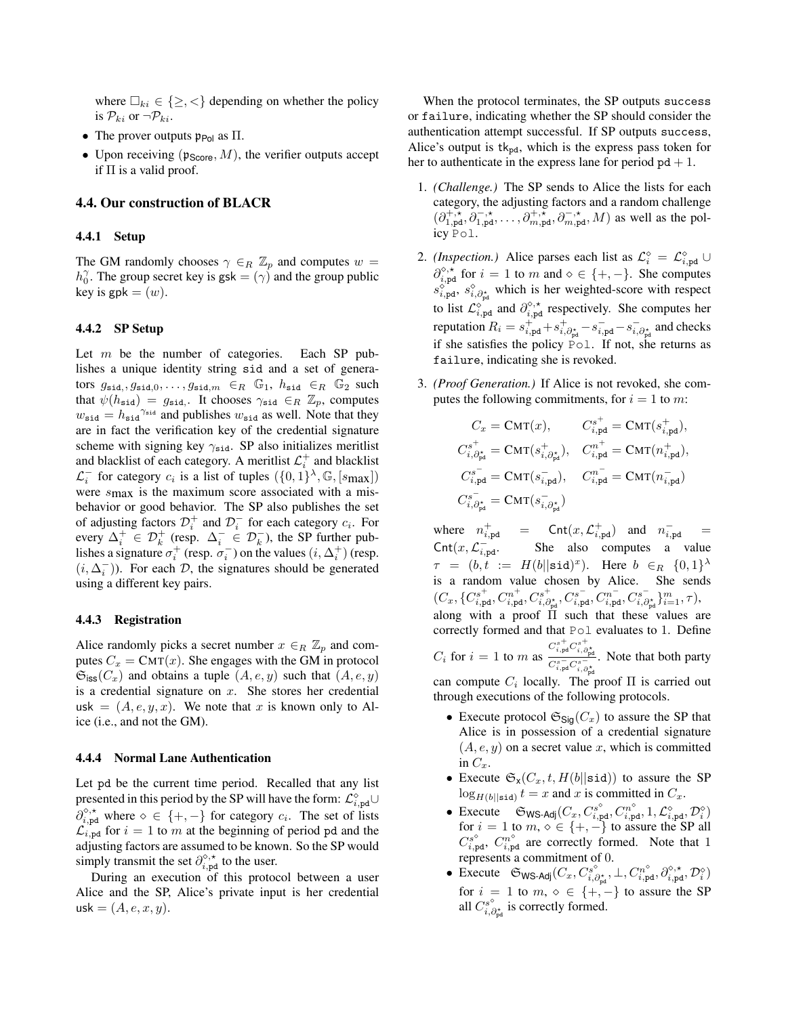where  $\square_{ki} \in \{\geq, <\}$  depending on whether the policy is  $\mathcal{P}_{ki}$  or  $\neg \mathcal{P}_{ki}$ .

- The prover outputs  $\mathfrak{p}_{P_{\text{OL}}}$  as  $\Pi$ .
- Upon receiving  $(\mathfrak{p}_{\text{Score}}, M)$ , the verifier outputs accept if  $\Pi$  is a valid proof.

## 4.4. Our construction of BLACR

#### 4.4.1 Setup

The GM randomly chooses  $\gamma \in R \mathbb{Z}_p$  and computes  $w =$  $h_0^{\gamma}$ . The group secret key is gsk =  $(\gamma)$  and the group public key is  $gpk = (w)$ .

#### 4.4.2 SP Setup

Let *m* be the number of categories. Each SP publishes a unique identity string sid and a set of generators  $g_{\text{sid},}, g_{\text{sid},0}, \ldots, g_{\text{sid},m} \in_R \mathbb{G}_1$ ,  $h_{\text{sid}} \in_R \mathbb{G}_2$  such that  $\psi(h_{\text{sid}}) = g_{\text{sid}}$ . It chooses  $\gamma_{\text{sid}} \in_R \mathbb{Z}_p$ , computes  $w_{\text{sid}} = h_{\text{sid}}^{\gamma_{\text{sid}}}$  and publishes  $w_{\text{sid}}$  as well. Note that they are in fact the verification key of the credential signature scheme with signing key  $\gamma_{\text{sid}}$ . SP also initializes meritlist and blacklist of each category. A meritlist  $\mathcal{L}_i^+$  and blacklist  $\mathcal{L}_i^-$  for category  $c_i$  is a list of tuples  $(\{0,1\}^{\lambda}, \mathbb{G}, [s_{\text{max}}])$ were *s*max is the maximum score associated with a misbehavior or good behavior. The SP also publishes the set of adjusting factors  $\mathcal{D}_i^+$  and  $\mathcal{D}_i^-$  for each category  $c_i$ . For every  $\Delta_i^+ \in \mathcal{D}_k^+$  (resp.  $\Delta_i^- \in \mathcal{D}_k^-$ ), the SP further publishes a signature  $\sigma_i^+$  (resp.  $\sigma_i^-$ ) on the values  $(i, \Delta_i^+)$  (resp.  $(i, \Delta_i^-)$ ). For each *D*, the signatures should be generated using a different key pairs.

#### 4.4.3 Registration

Alice randomly picks a secret number  $x \in_R \mathbb{Z}_p$  and computes  $C_x = \text{CMT}(x)$ . She engages with the GM in protocol  $\mathfrak{S}_{\text{iss}}(C_x)$  and obtains a tuple  $(A, e, y)$  such that  $(A, e, y)$ is a credential signature on *x*. She stores her credential usk  $=(A, e, y, x)$ . We note that x is known only to Alice (i.e., and not the GM).

#### 4.4.4 Normal Lane Authentication

Let pd be the current time period. Recalled that any list presented in this period by the SP will have the form:  $\mathcal{L}^{\diamond}_{i,\mathbf{pd}}\cup$  $\partial_{i,pd}^{\diamond,*}$  where  $\diamond \in \{+, -\}$  for category  $c_i$ . The set of lists  $\mathcal{L}_{i,pd}$  for  $i = 1$  to *m* at the beginning of period pd and the adjusting factors are assumed to be known. So the SP would simply transmit the set  $\partial_{i,pd}^{\diamond,\star}$  to the user.

During an execution of this protocol between a user Alice and the SP, Alice's private input is her credential  $usk = (A, e, x, y).$ 

When the protocol terminates, the SP outputs success or failure, indicating whether the SP should consider the authentication attempt successful. If SP outputs success, Alice's output is  $tk_{pd}$ , which is the express pass token for her to authenticate in the express lane for period  $pd + 1$ .

- 1. *(Challenge.)* The SP sends to Alice the lists for each category, the adjusting factors and a random challenge  $(\partial_{1,\text{pd}}^{+,\tilde{\star}}, \partial_{1,\text{pd}}^{-,\star}, \ldots, \partial_{m,\text{pd}}^{+,\tilde{\star}}, \partial_{m,\text{pd}}^{-,\star}, M)$  as well as the policy Pol.
- 2. *(Inspection.)* Alice parses each list as  $\mathcal{L}_{i}^{\diamond} = \mathcal{L}_{i,pd}^{\diamond} \cup$  $\partial_{i,pd}^{\diamond,*}$  for  $i = 1$  to *m* and  $\diamond \in \{+, -\}$ . She computes  $s_{i,pd}^{\diamond}, s_{i,\partial_{pd}^{*}}^{\diamond}$  which is her weighted-score with respect to list  $\mathcal{L}_{i,pd}^{\circ}$  and  $\partial_{i,pd}^{\circ,*}$  respectively. She computes her reputation  $R_i = s_{i,pd}^+ + s_{i,\partial_{pd}^*}^+ - s_{i,pd}^- - s_{i,\partial_{pd}^*}^-$  and checks if she satisfies the policy Pol. If not, she returns as failure, indicating she is revoked.
- 3. *(Proof Generation.)* If Alice is not revoked, she computes the following commitments, for  $i = 1$  to *m*:

$$
\begin{aligned} C_x &= \text{CMT}(x), \qquad C^{s^+}_{i,\text{pd}} = \text{CMT}(s^+_{i,\text{pd}}),\\ C^{s^+}_{i,\partial^{\star}_{\text{pd}}} &= \text{CMT}(s^+_{i,\partial^{\star}_{\text{pd}}}), \quad C^{n^+}_{i,\text{pd}} = \text{CMT}(n^+_{i,\text{pd}}),\\ C^{s^-}_{i,\text{pd}} &= \text{CMT}(s^-_{i,\text{pd}}), \quad C^{n^-}_{i,\text{pd}} = \text{CMT}(n^-_{i,\text{pd}})\\ C^{s^-}_{i,\partial^{\star}_{\text{pd}}} &= \text{CMT}(s^-_{i,\partial^{\star}_{\text{pd}}}) \end{aligned}
$$

where  $n_{i,\text{pd}}^+$  = Cnt $(x, \mathcal{L}_{i,\text{pd}}^+)$  and  $n_{i,\text{pd}}^-$  =  $\text{Cnt}(x, \mathcal{L}_{i, \text{pd}}^-)$  She also computes a value  $\tau = (b, t) := H(b||\text{sid})^x$ . Here  $b \in_R \{0,1\}^{\lambda}$ is a random value chosen by Alice. She sends  $(C_x, \{C^{s^+}_{i,\text{pd}}, C^{n^+}_{i,\text{pd}}, C^{s^+}_{i,\partial^\star_{\text{pd}}}, C^{s^-}_{i,\text{pd}}, C^{n^-}_{i,\text{pd}}, C^{s^-}_{i,\partial^\star_{\text{pd}}}\}_{i=1}^m, \tau),$ along with a proof  $\overline{\Pi}$  such that these values are correctly formed and that Pol evaluates to 1. Define  $C_i$  for  $i = 1$  to  $m$  as  $\frac{{C_{i,\text{pd}}^{\text{s}}}{{C_{i,\text{pd}}^{\text{s}}}{C_{i,\text{pd}}^{\text{s}}}}$ . Note that both party can compute  $C_i$  locally. The proof  $\Pi$  is carried out through executions of the following protocols.

- Execute protocol  $\mathfrak{S}_{\text{Siq}}(C_x)$  to assure the SP that Alice is in possession of a credential signature  $(A, e, y)$  on a secret value x, which is committed in  $C_x$ .
- Execute  $\mathfrak{S}_X(C_x, t, H(b||\text{sid}))$  to assure the SP  $\log_{H(b||\text{sid})} t = x$  and *x* is committed in  $C_x$ .
- Execute  $\mathfrak{S}_{\mathsf{WS\text{-}Adj}}(C_x, C_{i,pd}^s, C_{i,pd}^n, 1, \mathcal{L}_{i,pd}^{\diamond}, \mathcal{D}_i^{\diamond})$ for  $i = 1$  to  $m, \diamond \in \{+, -\}$  to assure the SP all  $C_{i,pd}^{s^{\diamond}}$ ,  $C_{i,pd}^{n^{\diamond}}$  are correctly formed. Note that 1 represents a commitment of 0.
- Execute  $\mathfrak{S}_{\textsf{WS\text{-}Adj}}(C_x, C^s_{i, \partial_{\textsf{pd}}^*}, \perp, C^n_{i, \textsf{pd}}, \partial_{i, \textsf{pd}}^{\diamond, \star}, \mathcal{D}_i^{\diamond})$ for  $i = 1$  to  $m, \diamond \in \{+, -\}$  to assure the SP all  $C_{i,\partial_{\text{pd}}^{\star}}^{s^{\diamond}}$  is correctly formed.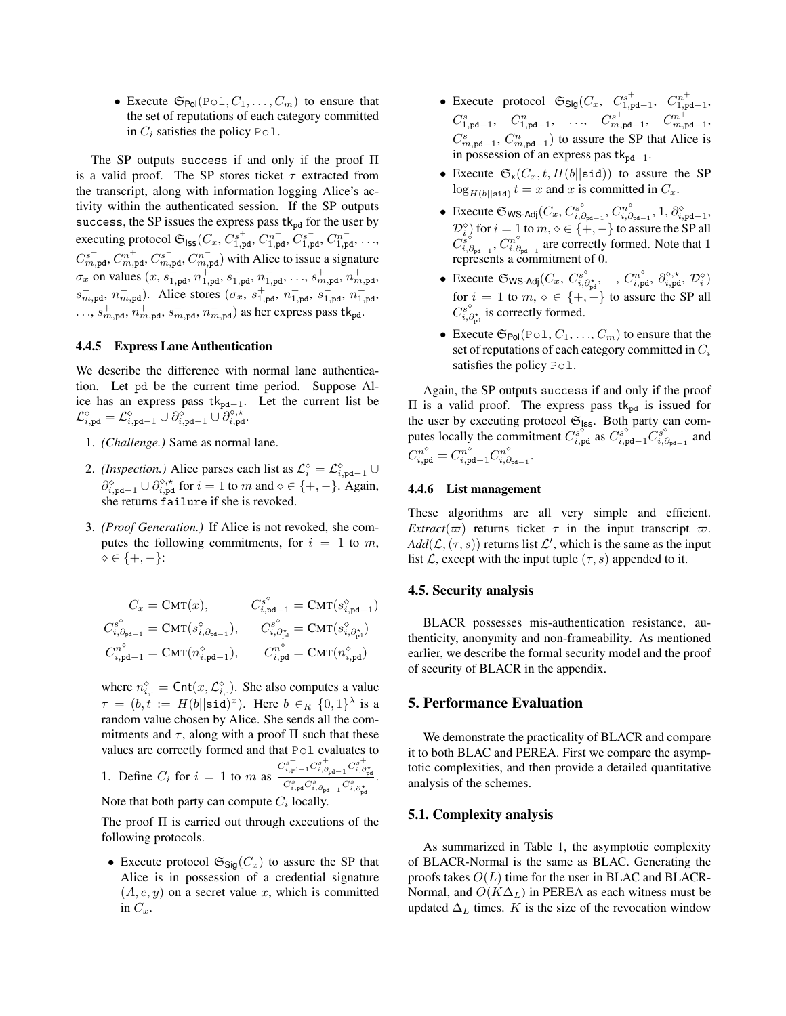• Execute  $\mathfrak{S}_{Pol}(Pol, C_1, \ldots, C_m)$  to ensure that the set of reputations of each category committed in  $C_i$  satisfies the policy Pol.

The SP outputs success if and only if the proof  $\Pi$ is a valid proof. The SP stores ticket  $\tau$  extracted from the transcript, along with information logging Alice's activity within the authenticated session. If the SP outputs success, the SP issues the express pass  $tk_{pd}$  for the user by executing protocol  $\mathfrak{S}_{\text{ISS}}(C_x, C_{1,pd}^{s^+}, C_{1,pd}^{n^+}, C_{1,pd}^{s^-}, C_{1,pd}^{n^-}, \ldots,$  $C^{s^+}_{m,pd}$ ,  $C^{n^+}_{m,pd}$ ,  $C^{s^-}_{m,pd}$ ,  $C^{n^-}_{m,pd}$ ) with Alice to issue a signature  $\sigma_x$  on values  $(x, s_{1,pd}^+, n_{1,pd}^+, s_{1,pd}^-, n_{1,pd}^-, \ldots, s_{m,pd}^+, n_{m,pd}^+,$  $s_{m,pd}^{-}$ ,  $n_{m,pd}^{-}$ ). Alice stores  $(\sigma_x, s_{1,pd}^{+}, n_{1,pd}^{+}, s_{1,pd}^{-}, n_{1,pd}^{-})$  $\dots$ ,  $s_{m,pd}^+$ ,  $n_{m,pd}^+$ ,  $s_{m,pd}^-$ ,  $n_{m,pd}^-$ ) as her express pass tk<sub>pd</sub>.

## 4.4.5 Express Lane Authentication

We describe the difference with normal lane authentication. Let pd be the current time period. Suppose Alice has an express pass  $tk_{pd-1}$ . Let the current list be  $\mathcal{L}^{\diamond}_{i,\texttt{pd}} = \mathcal{L}^{\diamond}_{i,\texttt{pd}-1} \cup \partial^{\diamond}_{i,\texttt{pd}-1} \cup \partial^{\diamond,\star}_{i,\texttt{pd}}.$ 

- 1. *(Challenge.)* Same as normal lane.
- 2. *(Inspection.)* Alice parses each list as  $\mathcal{L}_{i}^{\diamond} = \mathcal{L}_{i,pd-1}^{\diamond} \cup$  $\partial_{i,pd-1}^{\diamond} \cup \partial_{i,pd}^{\diamond,*}$  for  $i = 1$  to *m* and  $\diamond \in \{+, -\}$ . Again, she returns failure if she is revoked.
- 3. *(Proof Generation.)* If Alice is not revoked, she computes the following commitments, for  $i = 1$  to  $m$ ,  $\diamond \in \{+, -\}$ :

$$
C_x = \text{CMT}(x), \qquad C_{i, \text{pd}-1}^s = \text{CMT}(s_{i, \text{pd}-1}^\diamond)
$$
  
\n
$$
C_{i, \partial_{\text{pd}-1}}^s = \text{CMT}(s_{i, \partial_{\text{pd}-1}}^\diamond), \qquad C_{i, \partial_{\text{pd}}^*}^s = \text{CMT}(s_{i, \partial_{\text{pd}}^*}^\diamond)
$$
  
\n
$$
C_{i, \text{pd}-1}^n = \text{CMT}(n_{i, \text{pd}-1}^\diamond), \qquad C_{i, \text{pd}}^n = \text{CMT}(n_{i, \text{pd}}^\diamond)
$$

where  $n_{i}^{\diamond}$  = Cnt $(x, \mathcal{L}_{i}^{\diamond})$ . She also computes a value  $\tau = (b, t) = H(b||\text{sid})^x$ . Here  $b \in_R \{0, 1\}^{\lambda}$  is a random value chosen by Alice. She sends all the commitments and  $\tau$ , along with a proof  $\Pi$  such that these values are correctly formed and that Pol evaluates to  $C^{s}_{i,\mathrm{pd}-1} C^{s+}_{i,\partial_{\mathrm{pd}-1}} C^{s+}_{i,\partial_{\mathrm{pd}}^{\star}}$ .

1. Define 
$$
C_i
$$
 for  $i = 1$  to  $m$  as  $\frac{R_i \cdot \mathbf{p} \cdot \mathbf{q}}{C_{i, \mathbf{p} \cdot \mathbf{q}}^s C_{i, \mathbf{p} \cdot \mathbf{q}}^s C_{i, \mathbf{p} \cdot \mathbf{q}}^s}$ .  
Note that both party can compute  $C_i$  locally.

The proof  $\Pi$  is carried out through executions of the following protocols.

• Execute protocol  $\mathfrak{S}_{\mathsf{Sig}}(C_x)$  to assure the SP that Alice is in possession of a credential signature  $(A, e, y)$  on a secret value x, which is committed in  $C_x$ .

- Execute protocol  $\mathfrak{S}_{\mathsf{Sig}}(C_x, C_{1,\mathsf{pd}-1}^{s^+}, C_{1,\mathsf{pd}-1}^{n^+})$  $C_{1,pd-1}^{s^-},$   $C_{1,pd-1}^{n^-},$   $\ldots$ ,  $C_{m,pd-1}^{s^+},$   $C_{m,pd-1}^{n^+},$  $C^{s^-}_{m,pd-1}$ ,  $C^{n^-}_{m,pd-1}$ ) to assure the SP that Alice is in possession of an express pas  $tk_{pd-1}$ .
- Execute  $\mathfrak{S}_X(C_x, t, H(b||\text{sid}))$  to assure the SP  $\log_{H(b||\text{sid})} t = x$  and *x* is committed in  $C_x$ .
- Execute  $\mathfrak{S}_{\textsf{WS-Adj}}(C_x, C^s_{i, \partial_{\text{pd}-1}}, C^n_{i, \partial_{\text{pd}-1}}, 1, \partial^\diamond_{i, \text{pd}-1},$  $\mathcal{D}_{i}^{\diamond}$  ) for  $i = 1$  to *m*,  $\diamond \in \{+, -\}$  to assure the SP all  $C_{i,\partial_{\text{pd}-1}}^{s^{\circ}}, C_{i,\partial_{\text{pd}-1}}^{n^{\circ}}$  are correctly formed. Note that 1 represents a commitment of 0.
- Execute  $\mathfrak{S}_{\textsf{WS-Adj}}(C_x, \, C^{s^{\diamond}}_{i, \partial_{\textsf{p} \textsf{d}}} , \, \bot, \, C^{n^{\diamond}}_{i, \textsf{pd}}, \, \partial^{\diamond, \star}_{i, \textsf{pd}}, \, \mathcal{D}^{\diamond}_i)$ for  $i = 1$  to  $m, \circ \in \{+, -\}$  to assure the SP all  $C^{s^{\diamond}}_{i,\partial_{\mathbb{P}^d}}$  is correctly formed.
- Execute  $\mathfrak{S}_{Pol}(Pol, C_1, \ldots, C_m)$  to ensure that the set of reputations of each category committed in *C<sup>i</sup>* satisfies the policy Pol.

Again, the SP outputs success if and only if the proof  $\Pi$  is a valid proof. The express pass tk<sub>pd</sub> is issued for the user by executing protocol  $\mathfrak{S}_{\text{ISS}}$ . Both party can computes locally the commitment  $C_{i,pd}^{s^{\circ}}$  as  $C_{i,pd-1}^{s^{\circ}} C_{i,\partial_{pd-1}}^{s^{\circ}}$  and  $C_{i,\text{pd}}^{n^{\diamond}} = C_{i,\text{pd}-1}^{n^{\diamond}} C_{i,\partial_{\text{pd}-1}}^{n^{\diamond}}.$ 

#### 4.4.6 List management

These algorithms are all very simple and efficient. *Extract*( $\varpi$ ) returns ticket  $\tau$  in the input transcript  $\varpi$ .  $Add(L, (\tau, s))$  returns list *L'*, which is the same as the input list *L*, except with the input tuple  $(\tau, s)$  appended to it.

#### 4.5. Security analysis

BLACR possesses mis-authentication resistance, authenticity, anonymity and non-frameability. As mentioned earlier, we describe the formal security model and the proof of security of BLACR in the appendix.

#### 5. Performance Evaluation

We demonstrate the practicality of BLACR and compare it to both BLAC and PEREA. First we compare the asymptotic complexities, and then provide a detailed quantitative analysis of the schemes.

### 5.1. Complexity analysis

As summarized in Table [1,](#page-10-0) the asymptotic complexity of BLACR-Normal is the same as BLAC. Generating the proofs takes  $O(L)$  time for the user in BLAC and BLACR-Normal, and  $O(K\Delta_L)$  in PEREA as each witness must be updated  $\Delta_L$  times. *K* is the size of the revocation window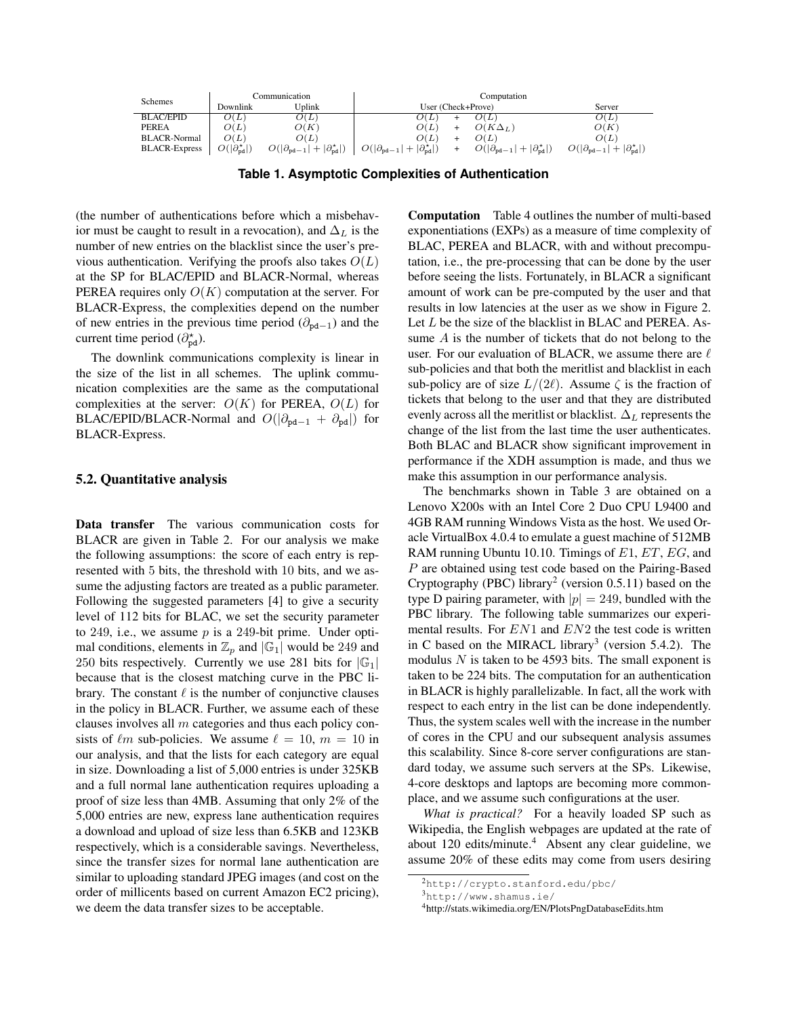| <b>Schemes</b>       | Communication                       |                                                              | Computation                                                  |  |                                                              |                                                              |
|----------------------|-------------------------------------|--------------------------------------------------------------|--------------------------------------------------------------|--|--------------------------------------------------------------|--------------------------------------------------------------|
|                      | Downlink                            | Uplink                                                       | User (Check+Prove)                                           |  |                                                              | Server                                                       |
| <b>BLAC/EPID</b>     | O(L)                                | O(L)                                                         | O(L)                                                         |  | O(L)                                                         | $\overline{O(L)}$                                            |
| <b>PEREA</b>         | O(L)                                | O(K)                                                         | O(L)                                                         |  | $O(K\Delta_L)$                                               | O(K)                                                         |
| <b>BLACR-Normal</b>  | O(L)                                | O(L)                                                         | O(L)                                                         |  | O(L)                                                         | O(L)                                                         |
| <b>BLACR-Express</b> | $O( \partial_{\text{nd}}^{\star} )$ | $O( \partial_{\text{pd}-1} + \partial^{\star}_{\text{pd}} )$ | $O( \partial_{\text{pd}-1} + \partial_{\text{nd}}^{\star} )$ |  | $O( \partial_{\text{pd}-1} + \partial_{\text{nd}}^{\star} )$ | $O( \partial_{\text{pd}-1} + \partial_{\text{nd}}^{\star} )$ |

<span id="page-10-0"></span>**Table 1. Asymptotic Complexities of Authentication**

(the number of authentications before which a misbehavior must be caught to result in a revocation), and  $\Delta_L$  is the number of new entries on the blacklist since the user's previous authentication. Verifying the proofs also takes  $O(L)$ at the SP for BLAC/EPID and BLACR-Normal, whereas PEREA requires only *O*(*K*) computation at the server. For BLACR-Express, the complexities depend on the number of new entries in the previous time period  $(\partial_{pd-1})$  and the current time period  $(\partial_{\text{pd}}^{\star})$ .

The downlink communications complexity is linear in the size of the list in all schemes. The uplink communication complexities are the same as the computational complexities at the server:  $O(K)$  for PEREA,  $O(L)$  for BLAC/EPID/BLACR-Normal and  $O(|\partial_{\text{pd}-1} + \partial_{\text{pd}}|)$  for BLACR-Express.

#### 5.2. Quantitative analysis

Data transfer The various communication costs for BLACR are given in Table [2.](#page-11-0) For our analysis we make the following assumptions: the score of each entry is represented with 5 bits, the threshold with 10 bits, and we assume the adjusting factors are treated as a public parameter. Following the suggested parameters [\[4\]](#page-13-9) to give a security level of 112 bits for BLAC, we set the security parameter to 249, i.e., we assume  $p$  is a 249-bit prime. Under optimal conditions, elements in  $\mathbb{Z}_p$  and  $|\mathbb{G}_1|$  would be 249 and 250 bits respectively. Currently we use 281 bits for  $|\mathbb{G}_1|$ because that is the closest matching curve in the PBC library. The constant  $\ell$  is the number of conjunctive clauses in the policy in BLACR. Further, we assume each of these clauses involves all *m* categories and thus each policy consists of  $\ell m$  sub-policies. We assume  $\ell = 10, m = 10$  in our analysis, and that the lists for each category are equal in size. Downloading a list of 5,000 entries is under 325KB and a full normal lane authentication requires uploading a proof of size less than 4MB. Assuming that only 2% of the 5,000 entries are new, express lane authentication requires a download and upload of size less than 6.5KB and 123KB respectively, which is a considerable savings. Nevertheless, since the transfer sizes for normal lane authentication are similar to uploading standard JPEG images (and cost on the order of millicents based on current Amazon EC2 pricing), we deem the data transfer sizes to be acceptable.

Computation Table [4](#page-12-1) outlines the number of multi-based exponentiations (EXPs) as a measure of time complexity of BLAC, PEREA and BLACR, with and without precomputation, i.e., the pre-processing that can be done by the user before seeing the lists. Fortunately, in BLACR a significant amount of work can be pre-computed by the user and that results in low latencies at the user as we show in Figure [2.](#page-12-2) Let *L* be the size of the blacklist in BLAC and PEREA. Assume *A* is the number of tickets that do not belong to the user. For our evaluation of BLACR, we assume there are  $\ell$ sub-policies and that both the meritlist and blacklist in each sub-policy are of size  $L/(2\ell)$ . Assume  $\zeta$  is the fraction of tickets that belong to the user and that they are distributed evenly across all the meritlist or blacklist.  $\Delta_L$  represents the change of the list from the last time the user authenticates. Both BLAC and BLACR show significant improvement in performance if the XDH assumption is made, and thus we make this assumption in our performance analysis.

The benchmarks shown in Table [3](#page-11-1) are obtained on a Lenovo X200s with an Intel Core 2 Duo CPU L9400 and 4GB RAM running Windows Vista as the host. We used Oracle VirtualBox 4.0.4 to emulate a guest machine of 512MB RAM running Ubuntu 10.10. Timings of *E*1, *ET*, *EG*, and *P* are obtained using test code based on the Pairing-Based Cryptography (PBC) library<sup>[2](#page-10-1)</sup> (version 0.5.11) based on the type D pairing parameter, with  $|p| = 249$ , bundled with the PBC library. The following table summarizes our experimental results. For *EN*1 and *EN*2 the test code is written in C based on the MIRACL library<sup>[3](#page-10-2)</sup> (version 5.4.2). The modulus *N* is taken to be 4593 bits. The small exponent is taken to be 224 bits. The computation for an authentication in BLACR is highly parallelizable. In fact, all the work with respect to each entry in the list can be done independently. Thus, the system scales well with the increase in the number of cores in the CPU and our subsequent analysis assumes this scalability. Since 8-core server configurations are standard today, we assume such servers at the SPs. Likewise, 4-core desktops and laptops are becoming more commonplace, and we assume such configurations at the user.

*What is practical?* For a heavily loaded SP such as Wikipedia, the English webpages are updated at the rate of about 120 edits/minute. $4$  Absent any clear guideline, we assume 20% of these edits may come from users desiring

<span id="page-10-1"></span><sup>2</sup><http://crypto.stanford.edu/pbc/>

<span id="page-10-2"></span><sup>3</sup><http://www.shamus.ie/>

<span id="page-10-3"></span><sup>4</sup>http://stats.wikimedia.org/EN/PlotsPngDatabaseEdits.htm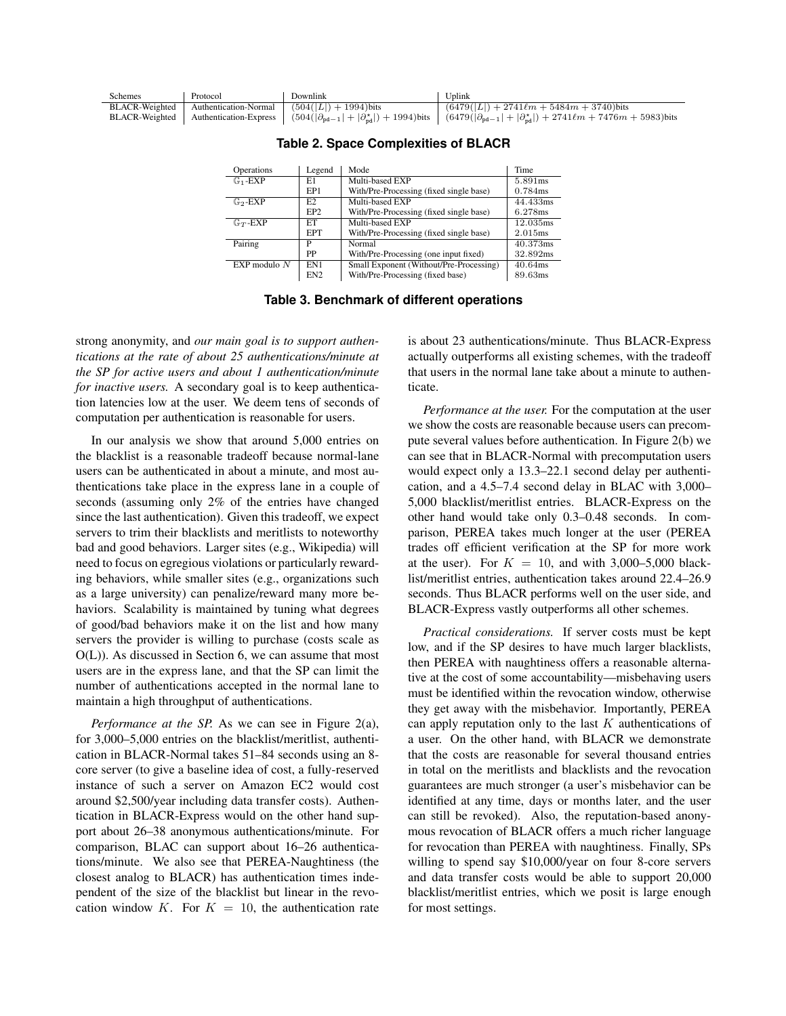| <b>Schemes</b> | Protocol | Downlink                                                        | Uplink                                                                                                                                                                                                      |
|----------------|----------|-----------------------------------------------------------------|-------------------------------------------------------------------------------------------------------------------------------------------------------------------------------------------------------------|
|                |          | BLACR-Weighted   Authentication-Normal $(504( L ) + 1994)$ bits | $(6479( L ) + 2741\ell m + 5484m + 3740)$ bits                                                                                                                                                              |
|                |          |                                                                 | BLACR-Weighted   Authentication-Express   $(504( \partial_{\text{pd}-1} + \partial_{\text{nd}}^{*} )+1994)$ bits   $(6479( \partial_{\text{pd}-1} + \partial_{\text{nd}}^{*} )+2741\ell m+7476m+5983)$ bits |

| Operations            | Legend          | Mode                                    | Time       |
|-----------------------|-----------------|-----------------------------------------|------------|
| $\mathbb{G}_1$ -EXP   | E1              | Multi-based EXP                         | 5.891 ms   |
|                       | EP1             | With/Pre-Processing (fixed single base) | 0.784ms    |
| $\mathbb{G}_2$ -EXP   | E2              | Multi-based EXP                         | 44.433ms   |
|                       | EP <sub>2</sub> | With/Pre-Processing (fixed single base) | 6.278ms    |
| $\mathbb{G}_{T}$ -EXP | ET              | Multi-based EXP                         | 12.035ms   |
|                       | <b>EPT</b>      | With/Pre-Processing (fixed single base) | 2.015ms    |
| Pairing               | P               | Normal                                  | 40.373ms   |
|                       | PP              | With/Pre-Processing (one input fixed)   | 32.892ms   |
| $EXP$ modulo $N$      | EN1             | Small Exponent (Without/Pre-Processing) | $40.64$ ms |
|                       | EN <sub>2</sub> | With/Pre-Processing (fixed base)        | 89.63ms    |

<span id="page-11-0"></span>**Table 2. Space Complexities of BLACR**

<span id="page-11-1"></span>**Table 3. Benchmark of different operations**

strong anonymity, and *our main goal is to support authentications at the rate of about 25 authentications/minute at the SP for active users and about 1 authentication/minute for inactive users.* A secondary goal is to keep authentication latencies low at the user. We deem tens of seconds of computation per authentication is reasonable for users.

In our analysis we show that around 5,000 entries on the blacklist is a reasonable tradeoff because normal-lane users can be authenticated in about a minute, and most authentications take place in the express lane in a couple of seconds (assuming only 2% of the entries have changed since the last authentication). Given this tradeoff, we expect servers to trim their blacklists and meritlists to noteworthy bad and good behaviors. Larger sites (e.g., Wikipedia) will need to focus on egregious violations or particularly rewarding behaviors, while smaller sites (e.g., organizations such as a large university) can penalize/reward many more behaviors. Scalability is maintained by tuning what degrees of good/bad behaviors make it on the list and how many servers the provider is willing to purchase (costs scale as O(L)). As discussed in Section [6,](#page-12-0) we can assume that most users are in the express lane, and that the SP can limit the number of authentications accepted in the normal lane to maintain a high throughput of authentications.

*Performance at the SP.* As we can see in Figure [2\(a\),](#page-12-3) for 3,000–5,000 entries on the blacklist/meritlist, authentication in BLACR-Normal takes 51–84 seconds using an 8 core server (to give a baseline idea of cost, a fully-reserved instance of such a server on Amazon EC2 would cost around \$2,500/year including data transfer costs). Authentication in BLACR-Express would on the other hand support about 26–38 anonymous authentications/minute. For comparison, BLAC can support about 16–26 authentications/minute. We also see that PEREA-Naughtiness (the closest analog to BLACR) has authentication times independent of the size of the blacklist but linear in the revocation window  $K$ . For  $K = 10$ , the authentication rate is about 23 authentications/minute. Thus BLACR-Express actually outperforms all existing schemes, with the tradeoff that users in the normal lane take about a minute to authenticate.

*Performance at the user.* For the computation at the user we show the costs are reasonable because users can precompute several values before authentication. In Figure [2\(b\)](#page-12-4) we can see that in BLACR-Normal with precomputation users would expect only a 13.3–22.1 second delay per authentication, and a 4.5–7.4 second delay in BLAC with 3,000– 5,000 blacklist/meritlist entries. BLACR-Express on the other hand would take only 0.3–0.48 seconds. In comparison, PEREA takes much longer at the user (PEREA trades off efficient verification at the SP for more work at the user). For  $K = 10$ , and with 3,000–5,000 blacklist/meritlist entries, authentication takes around 22.4–26.9 seconds. Thus BLACR performs well on the user side, and BLACR-Express vastly outperforms all other schemes.

*Practical considerations.* If server costs must be kept low, and if the SP desires to have much larger blacklists, then PEREA with naughtiness offers a reasonable alternative at the cost of some accountability—misbehaving users must be identified within the revocation window, otherwise they get away with the misbehavior. Importantly, PEREA can apply reputation only to the last *K* authentications of a user. On the other hand, with BLACR we demonstrate that the costs are reasonable for several thousand entries in total on the meritlists and blacklists and the revocation guarantees are much stronger (a user's misbehavior can be identified at any time, days or months later, and the user can still be revoked). Also, the reputation-based anonymous revocation of BLACR offers a much richer language for revocation than PEREA with naughtiness. Finally, SPs willing to spend say \$10,000/year on four 8-core servers and data transfer costs would be able to support 20,000 blacklist/meritlist entries, which we posit is large enough for most settings.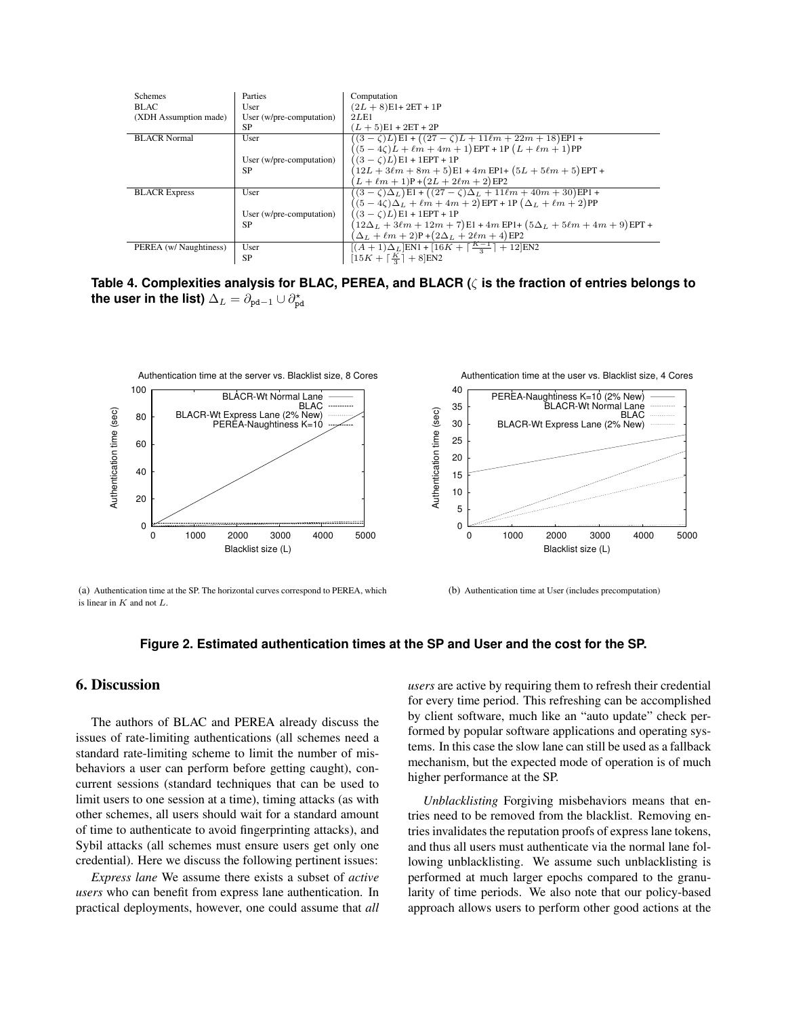| Schemes                | Parties                  | Computation                                                                            |
|------------------------|--------------------------|----------------------------------------------------------------------------------------|
| <b>BLAC</b>            | User                     | $(2L + 8)E1 + 2ET + 1P$                                                                |
| (XDH Assumption made)  | User (w/pre-computation) | 2LE1                                                                                   |
|                        | SP                       | $(L+5)E1 + 2ET + 2P$                                                                   |
| <b>BLACR Normal</b>    | User                     | $(3-\zeta)L$ El + $((27-\zeta)L + 11\ell m + 22m + 18)$ EP1 +                          |
|                        |                          | $((5-4\zeta)L + \ell m + 4m + 1)EPT + 1P(L + \ell m + 1)PP$                            |
|                        | User (w/pre-computation) | $(3 - \zeta)L$ E1 + 1EPT + 1P                                                          |
|                        | <b>SP</b>                | $(12L + 3\ell m + 8m + 5)E1 + 4m EPI + (5L + 5\ell m + 5)EPT +$                        |
|                        |                          | $(L + \ell m + 1)P + (2L + 2\ell m + 2)E$ P2                                           |
| <b>BLACR Express</b>   | User                     | $(3-\zeta)\Delta_L$ )E1 + $((27-\zeta)\Delta_L + 11\ell m + 40m + 30)$ EP1 +           |
|                        |                          | $(5-4\zeta)\Delta_L + \ell m + 4m + 2$ ) EPT + 1P $(\Delta_L + \ell m + 2)$ PP         |
|                        | User (w/pre-computation) | $(3 - \zeta)L$ E1 + 1EPT + 1P                                                          |
|                        | <b>SP</b>                | $(12\Delta_L + 3\ell m + 12m + 7)$ E1 + 4m EP1+ $(5\Delta_L + 5\ell m + 4m + 9)$ EPT + |
|                        |                          | $(\Delta_L + \ell m + 2)P + (2\Delta_L + 2\ell m + 4)EP2$                              |
| PEREA (w/ Naughtiness) | User                     | $[(A+1)\Delta_L]$ EN1 + [16 $K + \lceil \frac{K-1}{2} \rceil + 12$ ]EN2                |
|                        | <b>SP</b>                | $[15K + \lceil \frac{K}{2} \rceil + 8]EN2$                                             |

<span id="page-12-1"></span>**Table 4. Complexities analysis for BLAC, PEREA, and BLACR (**⇣ **is the fraction of entries belongs to** the user in the list)  $\Delta_L = \partial_{\mathtt{pd}-1}\cup\partial_{\mathtt{pd}}^\star$ 

<span id="page-12-3"></span>

(a) Authentication time at the SP. The horizontal curves correspond to PEREA, which is linear in *K* and not *L*.

<span id="page-12-4"></span>

#### <span id="page-12-2"></span>**Figure 2. Estimated authentication times at the SP and User and the cost for the SP.**

## <span id="page-12-0"></span>6. Discussion

The authors of BLAC and PEREA already discuss the issues of rate-limiting authentications (all schemes need a standard rate-limiting scheme to limit the number of misbehaviors a user can perform before getting caught), concurrent sessions (standard techniques that can be used to limit users to one session at a time), timing attacks (as with other schemes, all users should wait for a standard amount of time to authenticate to avoid fingerprinting attacks), and Sybil attacks (all schemes must ensure users get only one credential). Here we discuss the following pertinent issues:

*Express lane* We assume there exists a subset of *active users* who can benefit from express lane authentication. In practical deployments, however, one could assume that *all* *users* are active by requiring them to refresh their credential for every time period. This refreshing can be accomplished by client software, much like an "auto update" check performed by popular software applications and operating systems. In this case the slow lane can still be used as a fallback mechanism, but the expected mode of operation is of much higher performance at the SP.

*Unblacklisting* Forgiving misbehaviors means that entries need to be removed from the blacklist. Removing entries invalidates the reputation proofs of express lane tokens, and thus all users must authenticate via the normal lane following unblacklisting. We assume such unblacklisting is performed at much larger epochs compared to the granularity of time periods. We also note that our policy-based approach allows users to perform other good actions at the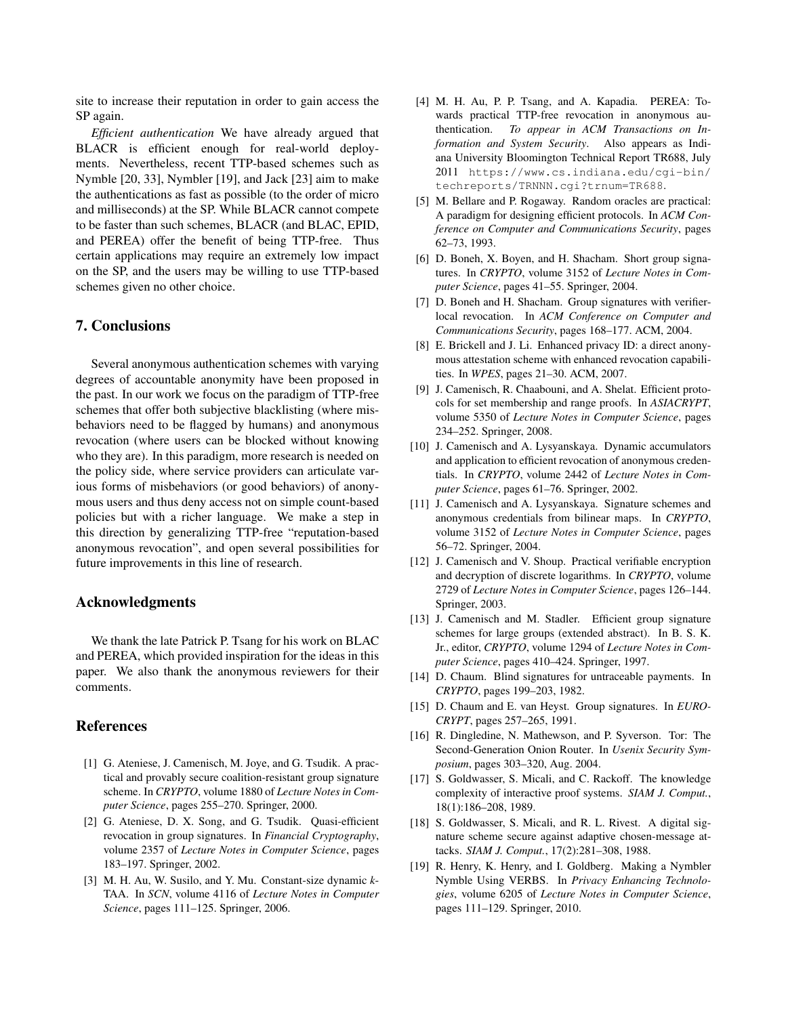site to increase their reputation in order to gain access the SP again.

*Efficient authentication* We have already argued that BLACR is efficient enough for real-world deployments. Nevertheless, recent TTP-based schemes such as Nymble [\[20,](#page-14-3) [33\]](#page-14-4), Nymbler [\[19\]](#page-13-7), and Jack [\[23\]](#page-14-5) aim to make the authentications as fast as possible (to the order of micro and milliseconds) at the SP. While BLACR cannot compete to be faster than such schemes, BLACR (and BLAC, EPID, and PEREA) offer the benefit of being TTP-free. Thus certain applications may require an extremely low impact on the SP, and the users may be willing to use TTP-based schemes given no other choice.

## 7. Conclusions

Several anonymous authentication schemes with varying degrees of accountable anonymity have been proposed in the past. In our work we focus on the paradigm of TTP-free schemes that offer both subjective blacklisting (where misbehaviors need to be flagged by humans) and anonymous revocation (where users can be blocked without knowing who they are). In this paradigm, more research is needed on the policy side, where service providers can articulate various forms of misbehaviors (or good behaviors) of anonymous users and thus deny access not on simple count-based policies but with a richer language. We make a step in this direction by generalizing TTP-free "reputation-based anonymous revocation", and open several possibilities for future improvements in this line of research.

#### Acknowledgments

We thank the late Patrick P. Tsang for his work on BLAC and PEREA, which provided inspiration for the ideas in this paper. We also thank the anonymous reviewers for their comments.

## References

- <span id="page-13-1"></span>[1] G. Ateniese, J. Camenisch, M. Joye, and G. Tsudik. A practical and provably secure coalition-resistant group signature scheme. In *CRYPTO*, volume 1880 of *Lecture Notes in Computer Science*, pages 255–270. Springer, 2000.
- <span id="page-13-4"></span>[2] G. Ateniese, D. X. Song, and G. Tsudik. Quasi-efficient revocation in group signatures. In *Financial Cryptography*, volume 2357 of *Lecture Notes in Computer Science*, pages 183–197. Springer, 2002.
- <span id="page-13-16"></span>[3] M. H. Au, W. Susilo, and Y. Mu. Constant-size dynamic *k*-TAA. In *SCN*, volume 4116 of *Lecture Notes in Computer Science*, pages 111–125. Springer, 2006.
- <span id="page-13-9"></span>[4] M. H. Au, P. P. Tsang, and A. Kapadia. PEREA: Towards practical TTP-free revocation in anonymous authentication. *To appear in ACM Transactions on Information and System Security*. Also appears as Indiana University Bloomington Technical Report TR688, July 2011 [https://www.cs.indiana.edu/cgi-bin/](https://www.cs.indiana.edu/cgi-bin/techreports/TRNNN.cgi?trnum=TR688) [techreports/TRNNN.cgi?trnum=TR688](https://www.cs.indiana.edu/cgi-bin/techreports/TRNNN.cgi?trnum=TR688).
- <span id="page-13-13"></span>[5] M. Bellare and P. Rogaway. Random oracles are practical: A paradigm for designing efficient protocols. In *ACM Conference on Computer and Communications Security*, pages 62–73, 1993.
- <span id="page-13-2"></span>[6] D. Boneh, X. Boyen, and H. Shacham. Short group signatures. In *CRYPTO*, volume 3152 of *Lecture Notes in Computer Science*, pages 41–55. Springer, 2004.
- <span id="page-13-5"></span>[7] D. Boneh and H. Shacham. Group signatures with verifierlocal revocation. In *ACM Conference on Computer and Communications Security*, pages 168–177. ACM, 2004.
- <span id="page-13-8"></span>[8] E. Brickell and J. Li. Enhanced privacy ID: a direct anonymous attestation scheme with enhanced revocation capabilities. In *WPES*, pages 21–30. ACM, 2007.
- <span id="page-13-18"></span>[9] J. Camenisch, R. Chaabouni, and A. Shelat. Efficient protocols for set membership and range proofs. In *ASIACRYPT*, volume 5350 of *Lecture Notes in Computer Science*, pages 234–252. Springer, 2008.
- <span id="page-13-6"></span>[10] J. Camenisch and A. Lysyanskaya. Dynamic accumulators and application to efficient revocation of anonymous credentials. In *CRYPTO*, volume 2442 of *Lecture Notes in Computer Science*, pages 61–76. Springer, 2002.
- <span id="page-13-17"></span>[11] J. Camenisch and A. Lysyanskaya. Signature schemes and anonymous credentials from bilinear maps. In *CRYPTO*, volume 3152 of *Lecture Notes in Computer Science*, pages 56–72. Springer, 2004.
- <span id="page-13-15"></span>[12] J. Camenisch and V. Shoup. Practical verifiable encryption and decryption of discrete logarithms. In *CRYPTO*, volume 2729 of *Lecture Notes in Computer Science*, pages 126–144. Springer, 2003.
- <span id="page-13-14"></span>[13] J. Camenisch and M. Stadler. Efficient group signature schemes for large groups (extended abstract). In B. S. K. Jr., editor, *CRYPTO*, volume 1294 of *Lecture Notes in Computer Science*, pages 410–424. Springer, 1997.
- <span id="page-13-10"></span>[14] D. Chaum. Blind signatures for untraceable payments. In *CRYPTO*, pages 199–203, 1982.
- <span id="page-13-3"></span>[15] D. Chaum and E. van Heyst. Group signatures. In *EURO-CRYPT*, pages 257–265, 1991.
- <span id="page-13-0"></span>[16] R. Dingledine, N. Mathewson, and P. Syverson. Tor: The Second-Generation Onion Router. In *Usenix Security Symposium*, pages 303–320, Aug. 2004.
- <span id="page-13-11"></span>[17] S. Goldwasser, S. Micali, and C. Rackoff. The knowledge complexity of interactive proof systems. *SIAM J. Comput.*, 18(1):186–208, 1989.
- <span id="page-13-12"></span>[18] S. Goldwasser, S. Micali, and R. L. Rivest. A digital signature scheme secure against adaptive chosen-message attacks. *SIAM J. Comput.*, 17(2):281–308, 1988.
- <span id="page-13-7"></span>[19] R. Henry, K. Henry, and I. Goldberg. Making a Nymbler Nymble Using VERBS. In *Privacy Enhancing Technologies*, volume 6205 of *Lecture Notes in Computer Science*, pages 111–129. Springer, 2010.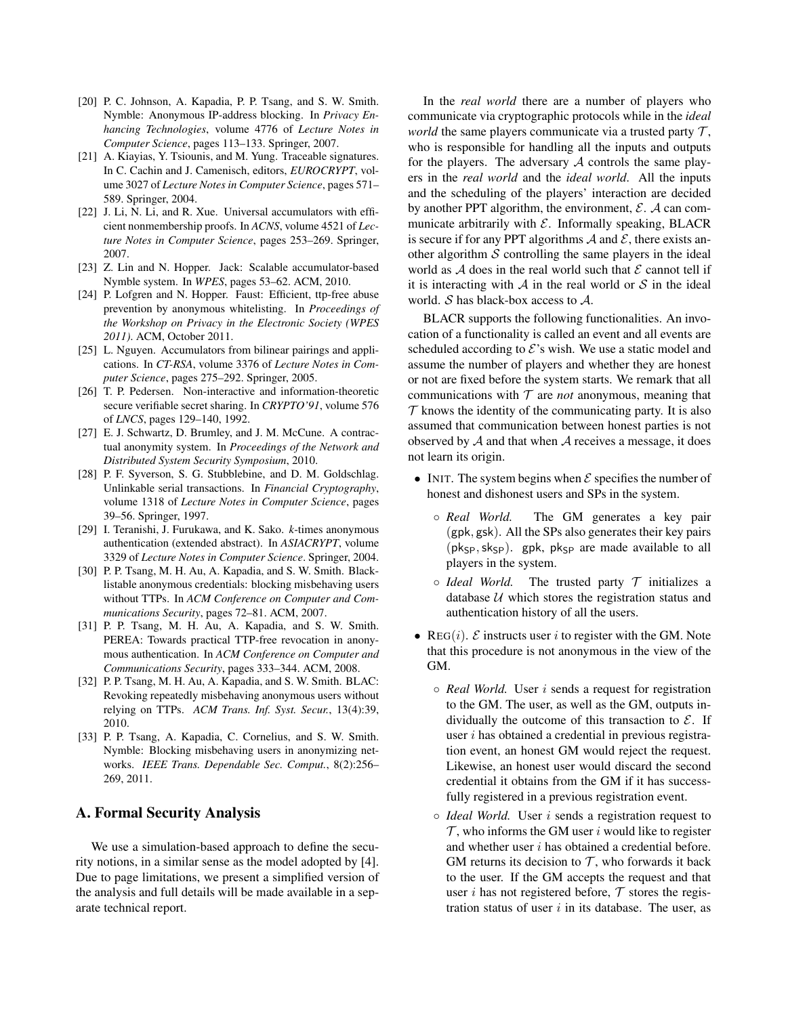- <span id="page-14-3"></span>[20] P. C. Johnson, A. Kapadia, P. P. Tsang, and S. W. Smith. Nymble: Anonymous IP-address blocking. In *Privacy Enhancing Technologies*, volume 4776 of *Lecture Notes in Computer Science*, pages 113–133. Springer, 2007.
- <span id="page-14-0"></span>[21] A. Kiayias, Y. Tsiounis, and M. Yung. Traceable signatures. In C. Cachin and J. Camenisch, editors, *EUROCRYPT*, volume 3027 of *Lecture Notes in Computer Science*, pages 571– 589. Springer, 2004.
- <span id="page-14-1"></span>[22] J. Li, N. Li, and R. Xue. Universal accumulators with efficient nonmembership proofs. In *ACNS*, volume 4521 of *Lecture Notes in Computer Science*, pages 253–269. Springer, 2007.
- <span id="page-14-5"></span>[23] Z. Lin and N. Hopper. Jack: Scalable accumulator-based Nymble system. In *WPES*, pages 53–62. ACM, 2010.
- <span id="page-14-12"></span>[24] P. Lofgren and N. Hopper. Faust: Efficient, ttp-free abuse prevention by anonymous whitelisting. In *Proceedings of the Workshop on Privacy in the Electronic Society (WPES 2011)*. ACM, October 2011.
- <span id="page-14-2"></span>[25] L. Nguyen. Accumulators from bilinear pairings and applications. In *CT-RSA*, volume 3376 of *Lecture Notes in Computer Science*, pages 275–292. Springer, 2005.
- <span id="page-14-13"></span>[26] T. P. Pedersen. Non-interactive and information-theoretic secure verifiable secret sharing. In *CRYPTO'91*, volume 576 of *LNCS*, pages 129–140, 1992.
- <span id="page-14-6"></span>[27] E. J. Schwartz, D. Brumley, and J. M. McCune. A contractual anonymity system. In *Proceedings of the Network and Distributed System Security Symposium*, 2010.
- <span id="page-14-11"></span>[28] P. F. Syverson, S. G. Stubblebine, and D. M. Goldschlag. Unlinkable serial transactions. In *Financial Cryptography*, volume 1318 of *Lecture Notes in Computer Science*, pages 39–56. Springer, 1997.
- <span id="page-14-10"></span>[29] I. Teranishi, J. Furukawa, and K. Sako. *k*-times anonymous authentication (extended abstract). In *ASIACRYPT*, volume 3329 of *Lecture Notes in Computer Science*. Springer, 2004.
- <span id="page-14-7"></span>[30] P. P. Tsang, M. H. Au, A. Kapadia, and S. W. Smith. Blacklistable anonymous credentials: blocking misbehaving users without TTPs. In *ACM Conference on Computer and Communications Security*, pages 72–81. ACM, 2007.
- <span id="page-14-9"></span>[31] P. P. Tsang, M. H. Au, A. Kapadia, and S. W. Smith. PEREA: Towards practical TTP-free revocation in anonymous authentication. In *ACM Conference on Computer and Communications Security*, pages 333–344. ACM, 2008.
- <span id="page-14-8"></span>[32] P. P. Tsang, M. H. Au, A. Kapadia, and S. W. Smith. BLAC: Revoking repeatedly misbehaving anonymous users without relying on TTPs. *ACM Trans. Inf. Syst. Secur.*, 13(4):39, 2010.
- <span id="page-14-4"></span>[33] P. P. Tsang, A. Kapadia, C. Cornelius, and S. W. Smith. Nymble: Blocking misbehaving users in anonymizing networks. *IEEE Trans. Dependable Sec. Comput.*, 8(2):256– 269, 2011.

## A. Formal Security Analysis

We use a simulation-based approach to define the security notions, in a similar sense as the model adopted by [\[4\]](#page-13-9). Due to page limitations, we present a simplified version of the analysis and full details will be made available in a separate technical report.

In the *real world* there are a number of players who communicate via cryptographic protocols while in the *ideal world* the same players communicate via a trusted party  $\mathcal{T}$ , who is responsible for handling all the inputs and outputs for the players. The adversary *A* controls the same players in the *real world* and the *ideal world*. All the inputs and the scheduling of the players' interaction are decided by another PPT algorithm, the environment, *E*. *A* can communicate arbitrarily with *E*. Informally speaking, BLACR is secure if for any PPT algorithms  $A$  and  $E$ , there exists another algorithm *S* controlling the same players in the ideal world as  $A$  does in the real world such that  $E$  cannot tell if it is interacting with *A* in the real world or *S* in the ideal world. *S* has black-box access to *A*.

BLACR supports the following functionalities. An invocation of a functionality is called an event and all events are scheduled according to  $\mathcal{E}$ 's wish. We use a static model and assume the number of players and whether they are honest or not are fixed before the system starts. We remark that all communications with  $T$  are *not* anonymous, meaning that  $\mathcal T$  knows the identity of the communicating party. It is also assumed that communication between honest parties is not observed by *A* and that when *A* receives a message, it does not learn its origin.

- *•* INIT. The system begins when *E* specifies the number of honest and dishonest users and SPs in the system.
	- *Real World.* The GM generates a key pair (gpk*,* gsk). All the SPs also generates their key pairs  $(pk<sub>SP</sub>, sk<sub>SP</sub>)$ . gpk, pk<sub>SP</sub> are made available to all players in the system.
	- *Ideal World.* The trusted party *T* initializes a database *U* which stores the registration status and authentication history of all the users.
- REG $(i)$ .  $\mathcal{E}$  instructs user *i* to register with the GM. Note that this procedure is not anonymous in the view of the GM.
	- *Real World.* User *i* sends a request for registration to the GM. The user, as well as the GM, outputs individually the outcome of this transaction to  $\mathcal{E}$ . If user *i* has obtained a credential in previous registration event, an honest GM would reject the request. Likewise, an honest user would discard the second credential it obtains from the GM if it has successfully registered in a previous registration event.
	- *Ideal World.* User *i* sends a registration request to  $\mathcal T$ , who informs the GM user *i* would like to register and whether user *i* has obtained a credential before. GM returns its decision to  $\mathcal{T}$ , who forwards it back to the user. If the GM accepts the request and that user *i* has not registered before,  $\mathcal T$  stores the registration status of user *i* in its database. The user, as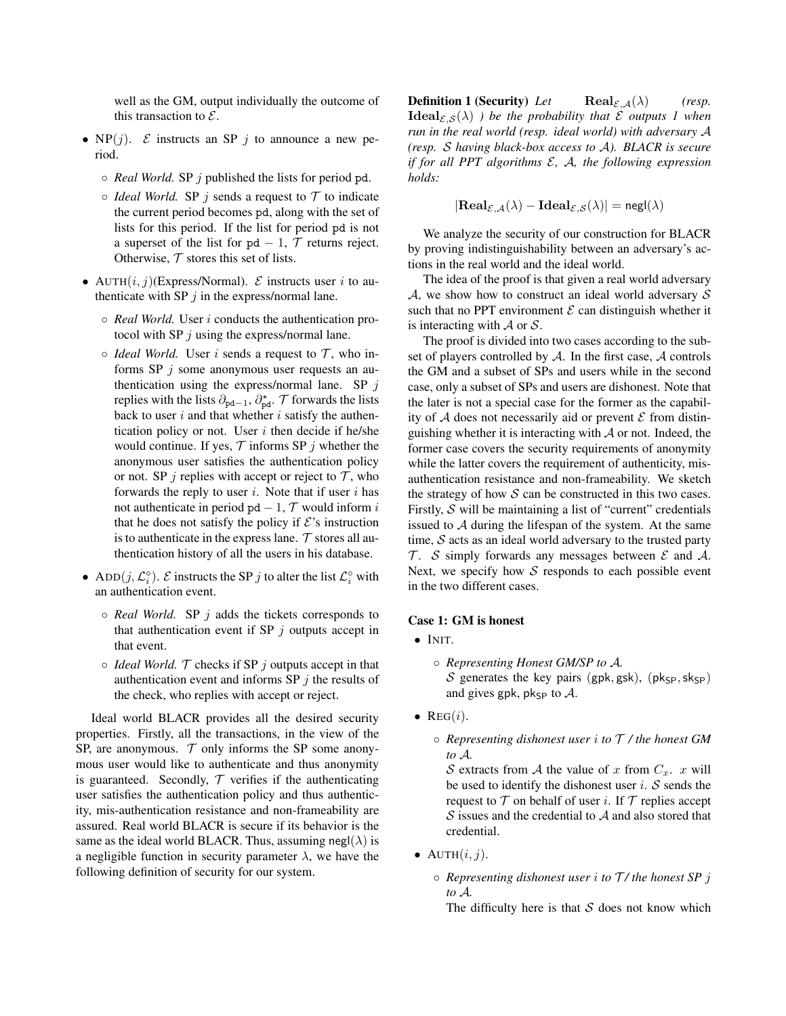well as the GM, output individually the outcome of this transaction to *E*.

- $NP(j)$ . *E* instructs an SP *j* to announce a new period.
	- *Real World.* SP *j* published the lists for period pd.
	- $\circ$  *Ideal World.* SP *j* sends a request to  $\mathcal T$  to indicate the current period becomes pd, along with the set of lists for this period. If the list for period pd is not a superset of the list for  $pd - 1$ ,  $T$  returns reject. Otherwise,  $T$  stores this set of lists.
- AUTH $(i, j)$ (Express/Normal).  $\mathcal E$  instructs user *i* to authenticate with SP  $j$  in the express/normal lane.
	- *Real World.* User *i* conducts the authentication protocol with SP *j* using the express/normal lane.
	- $\circ$  *Ideal World.* User *i* sends a request to  $\mathcal{T}$ , who informs SP *j* some anonymous user requests an authentication using the express/normal lane. SP *j* replies with the lists  $\partial_{pd-1}, \partial_{pd}^{\star}$ . *T* forwards the lists back to user *i* and that whether *i* satisfy the authentication policy or not. User *i* then decide if he/she would continue. If yes,  $\mathcal T$  informs SP  $\dot{\mathcal I}$  whether the anonymous user satisfies the authentication policy or not. SP *j* replies with accept or reject to  $\mathcal{T}$ , who forwards the reply to user *i*. Note that if user *i* has not authenticate in period  $pd - 1$ ,  $T$  would inform *i* that he does not satisfy the policy if  $\mathcal{E}$ 's instruction is to authenticate in the express lane.  $\tau$  stores all authentication history of all the users in his database.
- ADD $(j, \mathcal{L}_i^{\diamond})$ . *E* instructs the SP *j* to alter the list  $\mathcal{L}_i^{\diamond}$  with an authentication event.
	- *Real World.* SP *j* adds the tickets corresponds to that authentication event if SP  $j$  outputs accept in that event.
	- $\circ$  *Ideal World.*  $\mathcal T$  checks if SP *j* outputs accept in that authentication event and informs SP *j* the results of the check, who replies with accept or reject.

Ideal world BLACR provides all the desired security properties. Firstly, all the transactions, in the view of the SP, are anonymous.  $T$  only informs the SP some anonymous user would like to authenticate and thus anonymity is guaranteed. Secondly,  $T$  verifies if the authenticating user satisfies the authentication policy and thus authenticity, mis-authentication resistance and non-frameability are assured. Real world BLACR is secure if its behavior is the same as the ideal world BLACR. Thus, assuming negl( $\lambda$ ) is a negligible function in security parameter  $\lambda$ , we have the following definition of security for our system.

<span id="page-15-0"></span>**Definition 1 (Security)** Let **Real**<sub>*E*,*A*</sub>( $\lambda$ ) *(resp.*  $\text{Ideal}_{\mathcal{E},\mathcal{S}}(\lambda)$  *) be the probability that*  $\mathcal E$  *outputs 1 when run in the real world (resp. ideal world) with adversary A (resp. S having black-box access to A). BLACR is secure if for all PPT algorithms E, A, the following expression holds:*

 $|\text{Real}_{\mathcal{E},\mathcal{A}}(\lambda) - \text{Ideal}_{\mathcal{E},\mathcal{S}}(\lambda)| = \text{negl}(\lambda)$ 

We analyze the security of our construction for BLACR by proving indistinguishability between an adversary's actions in the real world and the ideal world.

The idea of the proof is that given a real world adversary *A*, we show how to construct an ideal world adversary *S* such that no PPT environment  $\mathcal E$  can distinguish whether it is interacting with *A* or *S*.

The proof is divided into two cases according to the subset of players controlled by *A*. In the first case, *A* controls the GM and a subset of SPs and users while in the second case, only a subset of SPs and users are dishonest. Note that the later is not a special case for the former as the capability of  $A$  does not necessarily aid or prevent  $\mathcal E$  from distinguishing whether it is interacting with *A* or not. Indeed, the former case covers the security requirements of anonymity while the latter covers the requirement of authenticity, misauthentication resistance and non-frameability. We sketch the strategy of how  $S$  can be constructed in this two cases. Firstly, *S* will be maintaining a list of "current" credentials issued to *A* during the lifespan of the system. At the same time, *S* acts as an ideal world adversary to the trusted party *T* . *S* simply forwards any messages between *E* and *A*. Next, we specify how *S* responds to each possible event in the two different cases.

## Case 1: GM is honest

- *•* INIT.
	- *Representing Honest GM/SP to A. S* generates the key pairs (gpk, gsk), (pk<sub>SP</sub>, sk<sub>SP</sub>) and gives gpk, pk<sub>SP</sub> to  $\mathcal{A}$ .
- *•* REG(*i*).
	- *Representing dishonest user i to T / the honest GM to A.*

*S* extracts from *A* the value of *x* from  $C_x$ . *x* will be used to identify the dishonest user *i*. *S* sends the request to  $T$  on behalf of user *i*. If  $T$  replies accept *S* issues and the credential to *A* and also stored that credential.

- AUTH $(i, j)$ .
	- *Representing dishonest user i to T / the honest SP j to A.*

The difficulty here is that *S* does not know which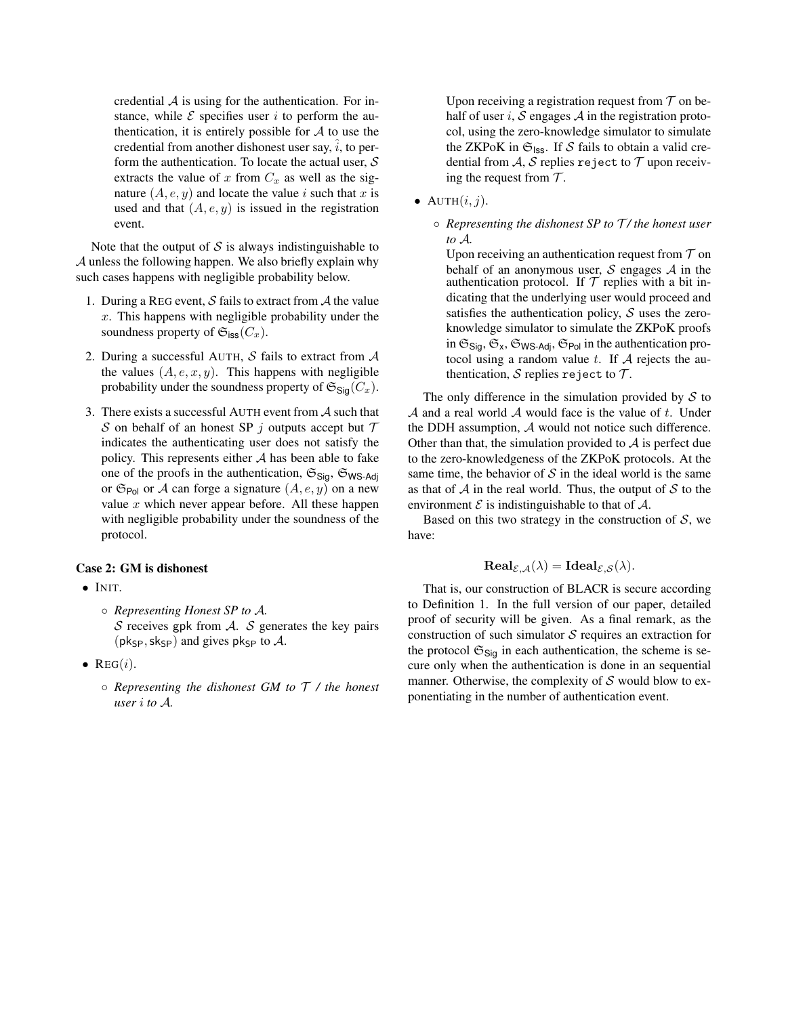credential *A* is using for the authentication. For instance, while  $\mathcal E$  specifies user *i* to perform the authentication, it is entirely possible for  $A$  to use the credential from another dishonest user say,  $\hat{i}$ , to perform the authentication. To locate the actual user, *S* extracts the value of  $x$  from  $C_x$  as well as the signature  $(A, e, y)$  and locate the value *i* such that *x* is used and that  $(A, e, y)$  is issued in the registration event.

Note that the output of  $S$  is always indistinguishable to *A* unless the following happen. We also briefly explain why such cases happens with negligible probability below.

- 1. During a REG event, *S* fails to extract from *A* the value *x*. This happens with negligible probability under the soundness property of  $\mathfrak{S}_{\text{iss}}(C_x)$ .
- 2. During a successful AUTH, *S* fails to extract from *A* the values  $(A, e, x, y)$ . This happens with negligible probability under the soundness property of  $\mathfrak{S}_{\mathsf{Sig}}(C_x)$ .
- 3. There exists a successful AUTH event from *A* such that *S* on behalf of an honest SP *j* outputs accept but *T* indicates the authenticating user does not satisfy the policy. This represents either *A* has been able to fake one of the proofs in the authentication,  $\mathfrak{S}_{\text{Sig}}$ ,  $\mathfrak{S}_{\text{WS-Adj}}$ or  $\mathfrak{S}_{Pol}$  or *A* can forge a signature  $(A, e, y)$  on a new value *x* which never appear before. All these happen with negligible probability under the soundness of the protocol.

#### Case 2: GM is dishonest

- *•* INIT.
	- *Representing Honest SP to A. S* receives gpk from *A*. *S* generates the key pairs ( $pk_{SP}$ ,  $sk_{SP}$ ) and gives  $pk_{SP}$  to  $A$ .
- *•* REG(*i*).
	- *Representing the dishonest GM to T / the honest user i to A.*

Upon receiving a registration request from  $T$  on behalf of user  $i$ ,  $S$  engages  $A$  in the registration protocol, using the zero-knowledge simulator to simulate the ZKPoK in  $\mathfrak{S}_{\text{ISS}}$ . If  $S$  fails to obtain a valid credential from  $A$ ,  $S$  replies reject to  $T$  upon receiving the request from *T* .

- $AUTH(i, j)$ .
	- *Representing the dishonest SP to T / the honest user to A.*

Upon receiving an authentication request from  $T$  on behalf of an anonymous user, *S* engages *A* in the authentication protocol. If  $T$  replies with a bit indicating that the underlying user would proceed and satisfies the authentication policy, *S* uses the zeroknowledge simulator to simulate the ZKPoK proofs in  $\mathfrak{S}_{\text{Sig}}, \mathfrak{S}_{\text{X}}, \mathfrak{S}_{\text{WS-Adj}}, \mathfrak{S}_{\text{Pol}}$  in the authentication protocol using a random value *t*. If *A* rejects the authentication,  $S$  replies reject to  $T$ .

The only difference in the simulation provided by *S* to *A* and a real world *A* would face is the value of *t*. Under the DDH assumption, *A* would not notice such difference. Other than that, the simulation provided to *A* is perfect due to the zero-knowledgeness of the ZKPoK protocols. At the same time, the behavior of  $S$  in the ideal world is the same as that of *A* in the real world. Thus, the output of *S* to the environment  $\mathcal E$  is indistinguishable to that of  $\mathcal A$ .

Based on this two strategy in the construction of *S*, we have:

## $\text{Real}_{\mathcal{E},\mathcal{A}}(\lambda) = \text{Ideal}_{\mathcal{E},\mathcal{S}}(\lambda).$

That is, our construction of BLACR is secure according to Definition [1.](#page-15-0) In the full version of our paper, detailed proof of security will be given. As a final remark, as the construction of such simulator *S* requires an extraction for the protocol  $\mathfrak{S}_{\text{Siq}}$  in each authentication, the scheme is secure only when the authentication is done in an sequential manner. Otherwise, the complexity of *S* would blow to exponentiating in the number of authentication event.